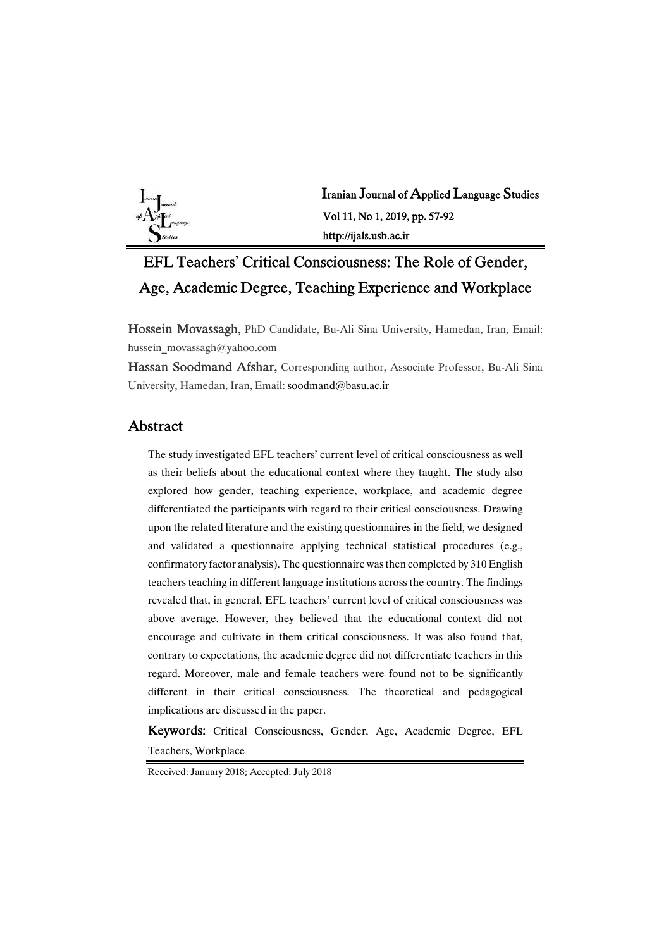

Iranian Journal of Applied Language Studies Vol 11, No 1, 2019, pp. 57-92 http://ijals.usb.ac.ir

# EFL Teachers' Critical Consciousness: The Role of Gender, Age, Academic Degree, Teaching Experience and Workplace

Hossein Movassagh, PhD Candidate, Bu-Ali Sina University, Hamedan, Iran, Email: hussein\_movassagh@yahoo.com

Hassan Soodmand Afshar, Corresponding author, Associate Professor, Bu-Ali Sina University, Hamedan, Iran, Email: soodmand@basu.ac.ir

### Abstract

The study investigated EFL teachers' current level of critical consciousness as well as their beliefs about the educational context where they taught. The study also explored how gender, teaching experience, workplace, and academic degree differentiated the participants with regard to their critical consciousness. Drawing upon the related literature and the existing questionnaires in the field, we designed and validated a questionnaire applying technical statistical procedures (e.g., confirmatory factor analysis). The questionnaire was then completed by 310 English teachers teaching in different language institutions across the country. The findings revealed that, in general, EFL teachers' current level of critical consciousness was above average. However, they believed that the educational context did not encourage and cultivate in them critical consciousness. It was also found that, contrary to expectations, the academic degree did not differentiate teachers in this regard. Moreover, male and female teachers were found not to be significantly different in their critical consciousness. The theoretical and pedagogical implications are discussed in the paper.

Keywords: Critical Consciousness, Gender, Age, Academic Degree, EFL Teachers,Workplace

Received: January 2018; Accepted: July 2018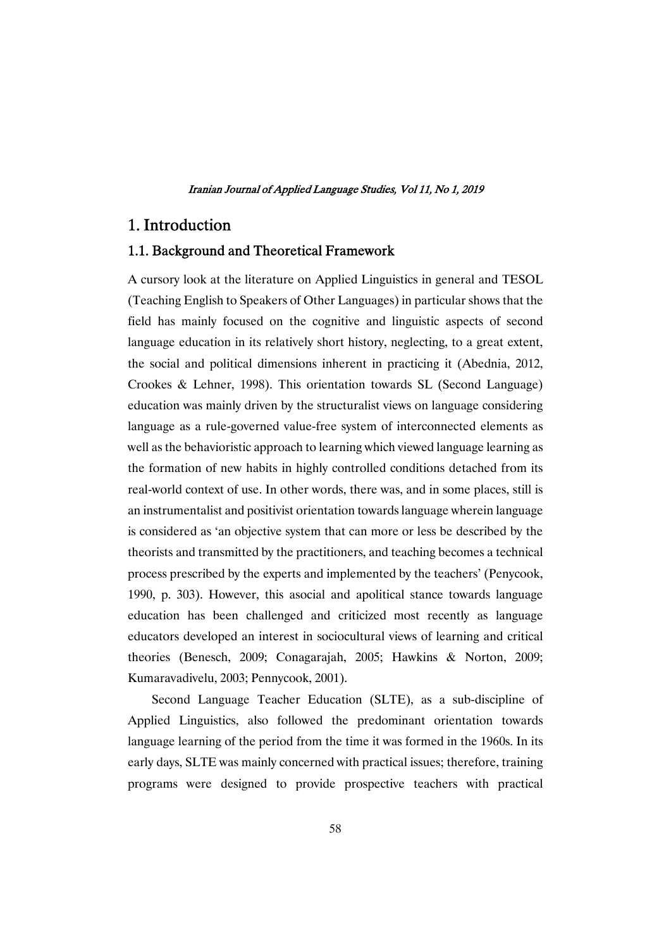### 1.Introduction

### 1.1. Background and Theoretical Framework

A cursory look at the literature on Applied Linguistics in general and TESOL (Teaching English to Speakers of Other Languages) in particular shows that the field has mainly focused on the cognitive and linguistic aspects of second language education in its relatively short history, neglecting, to a great extent, the social and political dimensions inherent in practicing it (Abednia, 2012, Crookes & Lehner, 1998). This orientation towards SL (Second Language) education was mainly driven by the structuralist views on language considering language as a rule-governed value-free system of interconnected elements as well as the behavioristic approach to learning which viewed language learning as the formation of new habitsin highly controlled conditions detached fromits real-world context of use. In other words, there was, and in some places, still is an instrumentalist and positivist orientation towards language wherein language is considered as 'an objective system that can more or less be described by the theorists and transmitted by the practitioners, and teaching becomes a technical process prescribed by the experts and implemented by the teachers' (Penycook, 1990, p. 303). However, this asocial and apolitical stance towards language education has been challenged and criticized most recently as language educators developed an interest in sociocultural views of learning and critical theories (Benesch, 2009; Conagarajah, 2005; Hawkins & Norton, 2009; Kumaravadivelu, 2003; Pennycook, 2001).

Second Language Teacher Education (SLTE), as a sub-discipline of Applied Linguistics, also followed the predominant orientation towards language learning of the period from the time it was formed in the 1960s. In its early days, SLTE was mainly concerned with practical issues; therefore, training programs were designed to provide prospective teachers with practical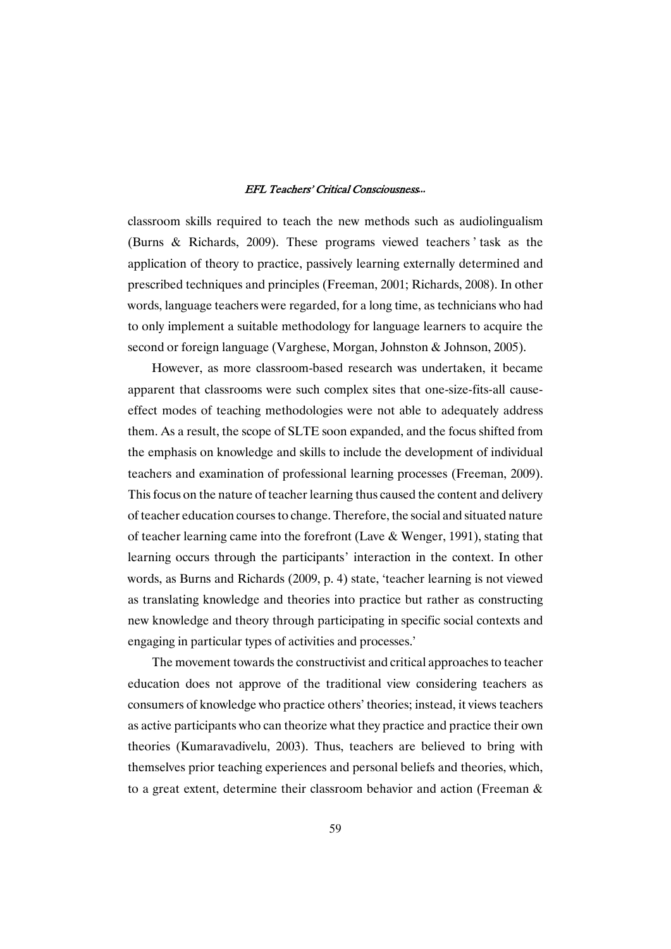classroom skills required to teach the new methods such as audiolingualism (Burns & Richards, 2009). These programs viewed teachers ' task as the application of theory to practice, passively learning externally determined and prescribed techniques and principles (Freeman, 2001; Richards, 2008). In other words, language teachers were regarded, for a long time, as technicians who had to only implement a suitable methodology for language learners to acquire the second or foreign language (Varghese, Morgan, Johnston & Johnson, 2005).

However, as more classroom-based research was undertaken, it became apparent that classroomswere such complex sites that one-size-fits-all causeeffect modes of teaching methodologies were not able to adequately address them. As a result, the scope of SLTE soon expanded, and the focus shifted from the emphasis on knowledge and skills to include the development of individual teachers and examination of professional learning processes (Freeman, 2009). This focus on the nature of teacher learning thus caused the content and delivery of teacher education courses to change. Therefore, the social and situated nature of teacher learning came into the forefront (Lave  $&$  Wenger, 1991), stating that learning occurs through the participants' interaction in the context. In other words, as Burns and Richards (2009, p. 4) state, 'teacher learning is not viewed as translating knowledge and theories into practice but rather as constructing new knowledge and theory through participating in specific social contexts and engaging in particular types of activities and processes.'

The movement towards the constructivist and critical approaches to teacher education does not approve of the traditional view considering teachers as consumers of knowledge who practice others' theories; instead, it views teachers as active participants who can theorize what they practice and practice their own theories (Kumaravadivelu, 2003). Thus, teachers are believed to bring with themselves prior teaching experiences and personal beliefs and theories, which, to a great extent, determine their classroom behavior and action (Freeman  $\&$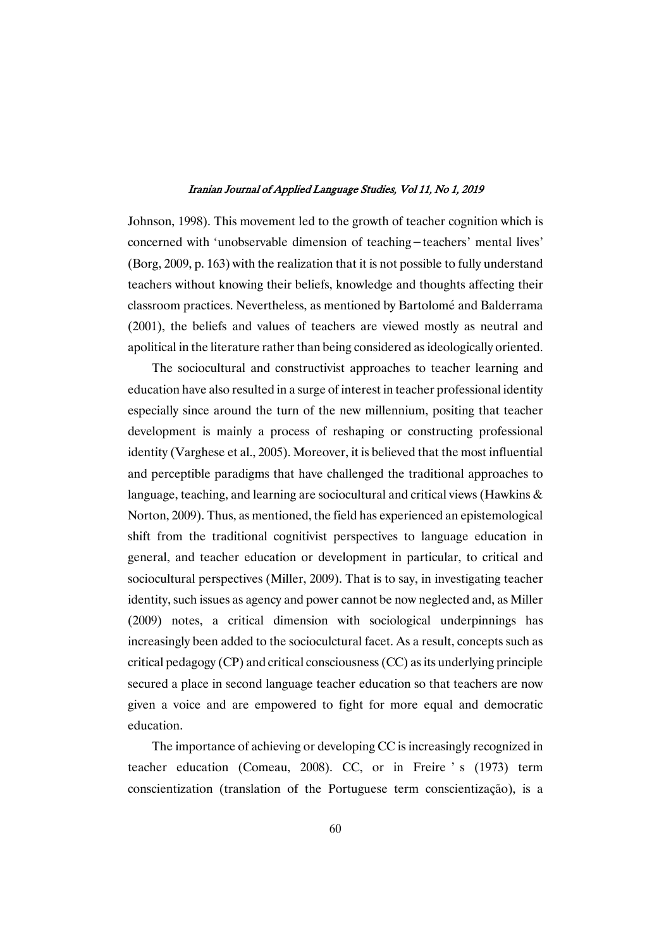Johnson, 1998). This movement led to the growth of teacher cognition which is concerned with 'unobservable dimension of teaching-teachers'mental lives' (Borg,  $2009$ , p. 163) with the realization that it is not possible to fully understand teachers without knowing their beliefs, knowledge and thoughts affecting their classroom practices. Nevertheless, as mentioned by Bartolomé and Balderrama (2001), the beliefs and values of teachers are viewed mostly as neutral and apolitical in the literature rather than being considered as ideologically oriented.

The sociocultural and constructivist approaches to teacher learning and education have also resulted in a surge of interest in teacher professional identity especially since around the turn of the new millennium, positing that teacher development is mainly a process of reshaping or constructing professional identity (Varghese et al., 2005). Moreover, it is believed that the most influential and perceptible paradigms that have challenged the traditional approaches to language, teaching, and learning are sociocultural and critical views (Hawkins  $\&$ Norton, 2009). Thus, as mentioned, the field has experienced an epistemological shift from the traditional cognitivist perspectives to language education in general, and teacher education or development in particular, to critical and sociocultural perspectives (Miller, 2009). That is to say, in investigating teacher identity, such issues as agency and power cannot be now neglected and, as Miller (2009) notes, a critical dimension with sociological underpinnings has increasingly been added to the socioculctural facet. As a result, concepts such as critical pedagogy  $(CP)$  and critical consciousness  $(CC)$  as its underlying principle secured a place in second language teacher education so that teachers are now given a voice and are empowered to fight for more equal and democratic education.

The importance of achieving or developing CC is increasingly recognized in teacher education (Comeau, 2008). CC, or in Freire ' s (1973) term conscientization (translation of the Portuguese term conscientização), is a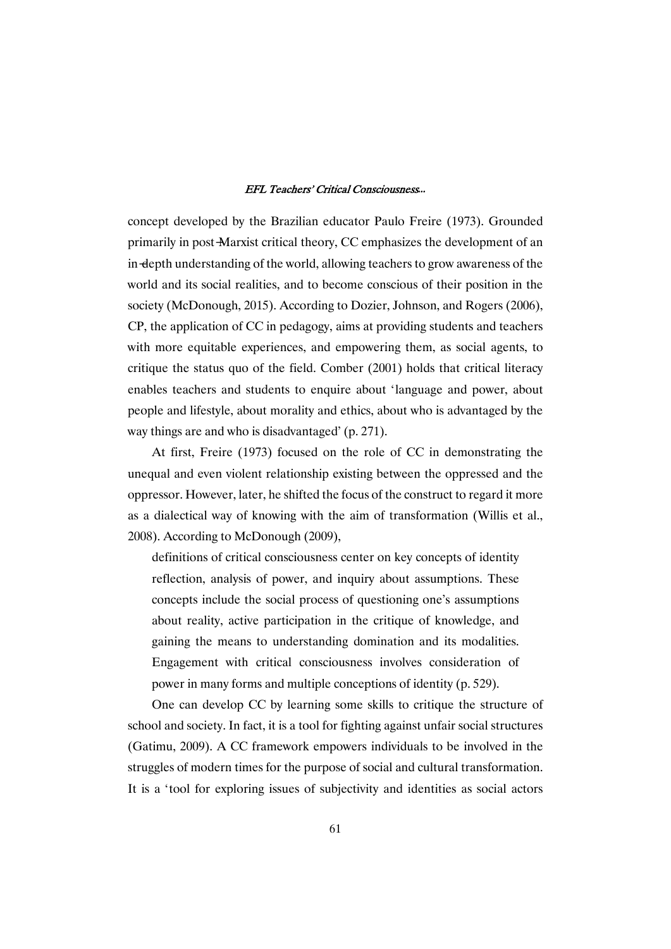concept developed by the Brazilian educator Paulo Freire (1973). Grounded primarily in post-Marxist critical theory, CC emphasizes the development of an in-depth understanding of the world, allowing teachers to grow awareness of the world and its social realities, and to become conscious of their position in the society (McDonough, 2015). According to Dozier, Johnson, and Rogers (2006), CP, the application of CC in pedagogy, aims at providing students and teachers with more equitable experiences, and empowering them, as social agents, to critique the status quo of the field. Comber  $(2001)$  holds that critical literacy enables teachers and students to enquire about 'language and power, about people and lifestyle, about morality and ethics, about who is advantaged by the way things are and who is disadvantaged' (p. 271).

At first, Freire (1973) focused on the role of CC in demonstrating the unequal and even violent relationship existing between the oppressed and the oppressor. However, later, he shifted the focus of the construct to regard it more as a dialectical way of knowing with the aim of transformation (Willis et al., 2008). According to McDonough (2009),

definitions of critical consciousness center on key concepts of identity reflection, analysis of power, and inquiry about assumptions. These concepts include the social process of questioning one's assumptions about reality, active participation in the critique of knowledge, and gaining the means to understanding domination and its modalities. Engagement with critical consciousness involves consideration of power in many forms and multiple conceptions of identity (p. 529).

One can develop CC by learning some skills to critique the structure of school and society. In fact, it is a tool for fighting against unfair social structures (Gatimu, 2009). A CC framework empowers individuals to be involved in the struggles of modern times for the purpose of social and cultural transformation. It is a 'tool for exploring issues of subjectivity and identities as social actors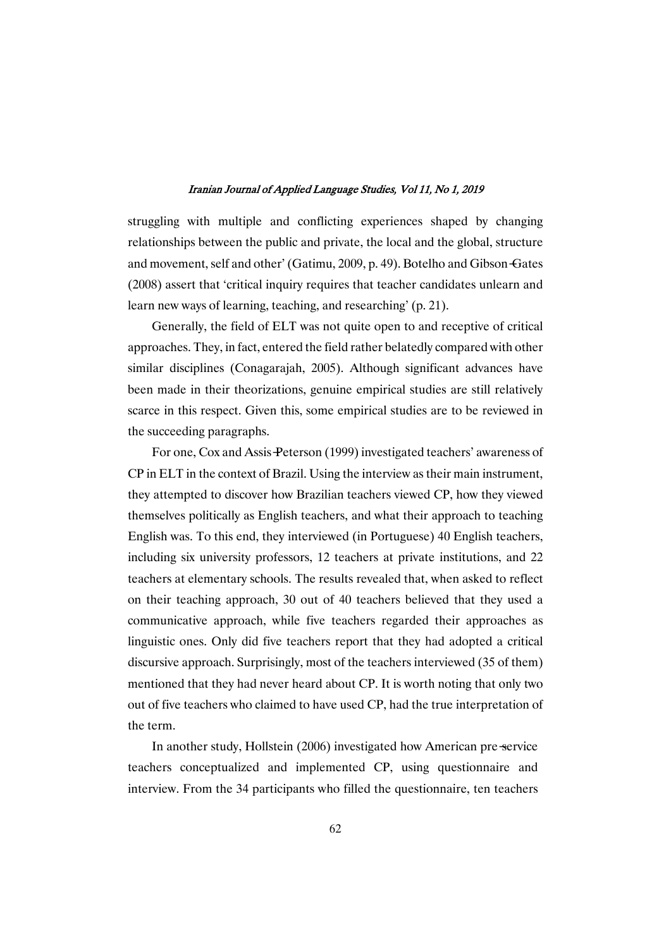struggling with multiple and conflicting experiences shaped by changing relationships between the public and private, the local and the global, structure and movement, self and other' (Gatimu, 2009, p. 49). Botelho and Gibson-Gates (2008) assert that 'critical inquiry requires that teacher candidates unlearn and learn new ways of learning, teaching, and researching' (p. 21).

Generally, the field of ELT was not quite open to and receptive of critical approaches. They, in fact, entered the field rather belatedly compared with other similar disciplines (Conagarajah, 2005). Although significant advances have been made in their theorizations, genuine empirical studies are still relatively scarce in this respect. Given this, some empirical studies are to be reviewed in the succeeding paragraphs.

For one, Cox and Assis-Peterson (1999) investigated teachers' awareness of CP in ELT in the context of Brazil. Using the interview as their main instrument, they attempted to discover how Brazilian teachers viewed CP, how they viewed themselves politically as Englishteachers, and what their approach to teaching English was. To this end, they interviewed (in Portuguese) 40 English teachers, including six university professors, 12 teachers at private institutions, and 22 teachers at elementary schools. The results revealed that, when asked to reflect on their teaching approach, 30 out of 40 teachers believed that they used a communicative approach, while five teachers regarded their approaches as linguistic ones.Only did five teachers report that they had adopted a critical discursive approach. Surprisingly, most of the teachers interviewed (35 of them) mentioned that they had never heard about CP. It is worth noting that only two out of five teachers who claimed to have used CP, had the true interpretation of the term.

In another study, Hollstein (2006) investigated how American pre-service teachers conceptualized and implemented CP, using questionnaire and interview. From the 34 participants who filled the questionnaire, ten teachers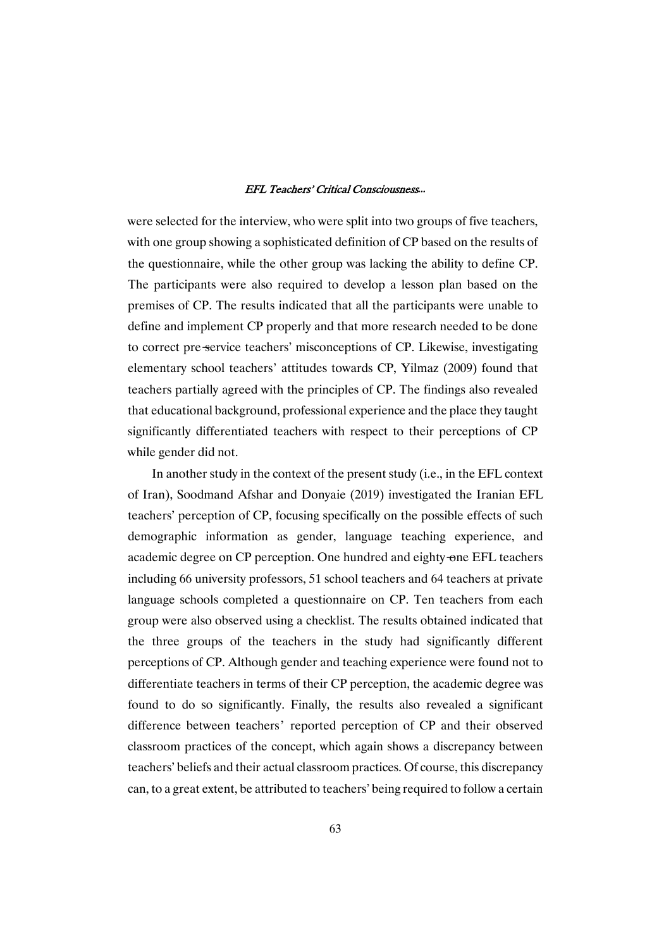were selected for the interview, who were split into two groups of five teachers, with one group showing a sophisticated definition of CP based on the results of the questionnaire, while the other group was lacking the ability to define CP. The participants were also required to develop a lesson plan based on the premises of CP. The results indicated that all the participants were unable to define and implement CP properly and that more research needed to be done to correct pre-service teachers' misconceptions of CP. Likewise, investigating elementary school teachers' attitudes towards CP, Yilmaz (2009) found that teachers partially agreed with the principles of CP. The findings also revealed that educational background, professional experience and the place they taught significantly differentiated teachers with respect to their perceptions of CP while gender did not.

In another study in the context of the present study (i.e., in the EFL context of Iran), Soodmand Afshar and Donyaie (2019) investigated the Iranian EFL teachers' perception of CP, focusing specifically on the possible effects of such demographic information as gender, language teaching experience, and academic degree on CP perception. One hundred and eighty-one EFL teachers including 66 university professors, 51 school teachers and 64 teachers at private language schools completed a questionnaire on CP. Ten teachers from each group were also observed using a checklist. The results obtained indicated that the three groups of the teachers in the study had significantly different perceptions of CP. Although gender and teaching experience were found not to differentiate teachers in terms of their CP perception, the academic degree was found to do so significantly. Finally, the results also revealed a significant difference between teachers' reported perception of CP and their observed classroom practices of the concept, which again shows a discrepancy between teachers' beliefs and their actual classroom practices. Of course, this discrepancy can, to a great extent, be attributed to teachers' being required to follow a certain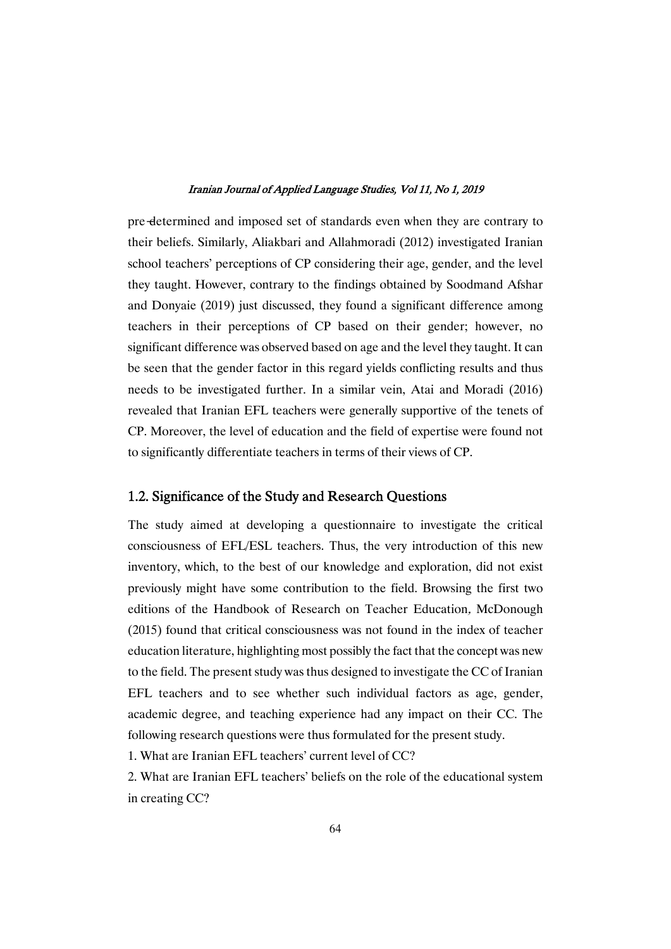pre-determined and imposed set of standards even when they are contrary to their beliefs. Similarly, Aliakbari and Allahmoradi (2012) investigated Iranian school teachers' perceptions of CP considering their age, gender, and the level they taught. However, contrary to the findings obtained by Soodmand Afshar and Donyaie (2019) just discussed, they found a significant difference among teachers in their perceptions of CP based on their gender; however, no significant difference was observed based on age and the level they taught. It can be seen that the gender factor in this regard yields conflicting results and thus needs to be investigated further. In a similar vein, Atai and Moradi (2016) revealed that Iranian EFL teachers were generally supportive of the tenets of CP. Moreover, the level of education and the field of expertise were found not to significantly differentiate teachers in terms of their views of CP.

### 1.2. Significance of the Study and Research Questions

The study aimed at developing a questionnaire to investigate the critical consciousness of EFL/ESL teachers. Thus, the very introduction of this new inventory, which, to the best of our knowledge and exploration, did not exist previously might have some contribution to the field. Browsing the first two editions of the Handbook of Research on Teacher Education, McDonough  $(2015)$  found that critical consciousness was not found in the index of teacher education literature, highlighting most possibly the fact that the concept was new to the field. The present study was thus designed to investigate the CC of Iranian EFL teachers and to see whether such individual factors as age, gender, academic degree, and teaching experience had any impact on their CC. The following research questions were thus formulated for the present study.

1. What are Iranian EFL teachers' current level of CC?

2. What are Iranian EFL teachers' beliefs on the role of the educational system in creating CC?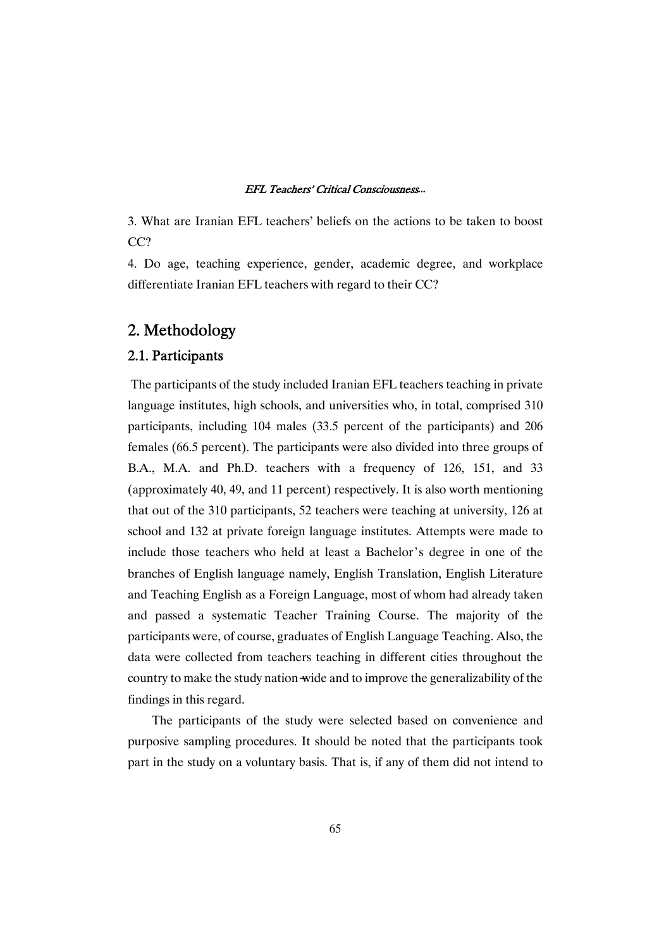3. What are Iranian EFL teachers' beliefs on the actions to be taken to boost CC?

4. Do age, teaching experience, gender, academic degree, and workplace differentiate Iranian EFL teachers with regard to their CC?

## 2.Methodology

### 2.1.Participants

The participants of the study included Iranian EFL teachers teaching in private language institutes, high schools, and universities who, in total, comprised 310 participants, including 104 males (33.5 percent of the participants) and 206 females (66.5 percent). The participants were also divided into three groups of B.A., M.A. and Ph.D. teachers with a frequency of 126, 151, and 33 (approximately 40, 49, and 11 percent) respectively. It is also worth mentioning that out of the 310 participants, 52 teachers were teaching at university, 126 at school and 132 at private foreign language institutes. Attempts were made to include those teachers who held at least a Bachelor's degree in one of the branches of English language namely, English Translation, English Literature and Teaching English as a Foreign Language, most of whom had already taken and passed a systematic Teacher Training Course. The majority of the participants were, of course, graduates of English Language Teaching. Also, the data were collected from teachers teaching in different cities throughout the country to make the study nation-wide and to improve the generalizability of the findings in this regard.

The participants of the study were selected based on convenience and purposive sampling procedures. It should be noted that the participants took part in the study on a voluntary basis. That is, if any of them did not intend to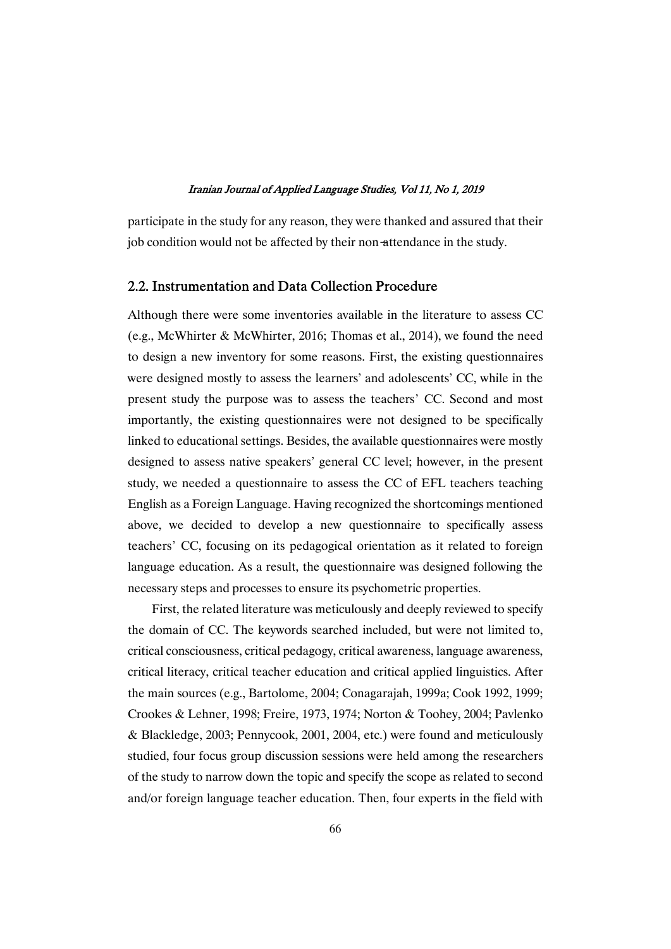participate in the study for any reason, they were thanked and assured that their job condition would not be affected by their non-attendance in the study.

### 2.2. Instrumentation and Data Collection Procedure

Although there were some inventories available in the literature to assess CC (e.g., McWhirter & McWhirter, 2016; Thomas et al., 2014), we found the need to design a new inventory for some reasons. First, the existing questionnaires were designed mostly to assess the learners' and adolescents' CC, while in the present study the purpose was to assess the teachers' CC. Second and most importantly, the existing questionnaires were not designed to be specifically linked to educational settings. Besides, the available questionnaires were mostly designed to assess native speakers' general CC level; however, in the present study, we needed a questionnaire to assess the CC of EFL teachers teaching English as a Foreign Language. Having recognized the shortcomings mentioned above, we decided to develop a new questionnaire to specifically assess teachers' CC, focusing on its pedagogical orientation as it related to foreign language education. As a result, the questionnaire was designed following the necessary steps and processes to ensure its psychometric properties.

First, the related literature was meticulously and deeply reviewed to specify the domain of CC. The keywords searched included, but were not limited to, critical consciousness, critical pedagogy, critical awareness, language awareness, critical literacy, critical teacher education and critical applied linguistics. After the main sources (e.g., Bartolome, 2004; Conagarajah, 1999a; Cook 1992, 1999; Crookes & Lehner, 1998; Freire, 1973, 1974; Norton & Toohey, 2004; Pavlenko & Blackledge, 2003; Pennycook, 2001, 2004, etc.) were found and meticulously studied, four focus group discussion sessions were held among the researchers of the study to narrow down the topic and specify the scope as related to second and/or foreign language teacher education. Then, four experts in the field with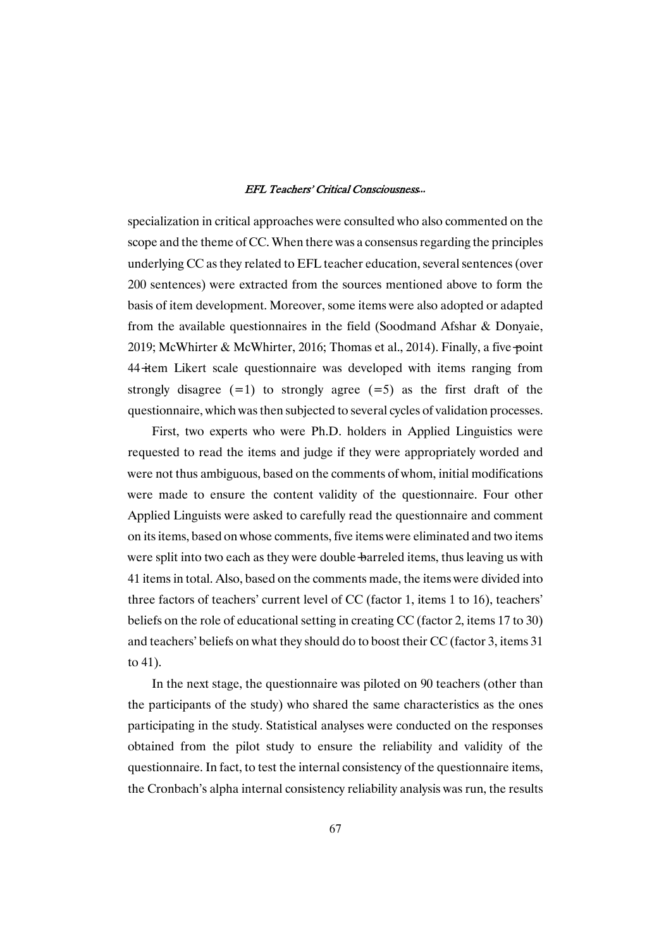specialization in critical approaches were consulted who also commented on the scope and the theme of CC. When there was a consensus regarding the principles underlying CC as they related to EFL teacher education, several sentences (over 200 sentences) were extracted from the sources mentioned above to form the basis of item development. Moreover, some items were also adopted or adapted from the available questionnaires in the field (Soodmand Afshar  $&$  Donyaie, 2019; McWhirter & McWhirter, 2016; Thomas et al., 2014). Finally, a five-point 44-item Likert scale questionnaire was developed with items ranging from strongly disagree  $(=1)$  to strongly agree  $(=5)$  as the first draft of the questionnaire, which was then subjected to several cycles of validation processes.

First, two experts who were Ph.D. holders in Applied Linguistics were requested to read the items and judge if they were appropriately worded and were not thus ambiguous, based on the comments of whom, initial modifications were made to ensure the content validity of the questionnaire. Four other Applied Linguists were asked to carefully read the questionnaire and comment on its items, based on whose comments, five items were eliminated and two items were split into two each as they were double-barreled items, thus leaving us with 41 items in total. Also, based on the comments made, the items were divided into three factors of teachers' current level of CC (factor 1, items 1 to 16), teachers' beliefs on the role of educational setting in creating CC (factor 2, items  $17$  to  $30$ ) and teachers' beliefs on what they should do to boost their CC (factor 3, items 31 to 41).

In the next stage, the questionnaire was piloted on 90 teachers (other than the participants of the study) who shared the same characteristics as the ones participating in the study. Statistical analyses were conducted on the responses obtained from the pilot study to ensure the reliability and validity of the questionnaire. In fact, to test the internal consistency of the questionnaire items, the Cronbach's alpha internal consistency reliability analysis was run, the results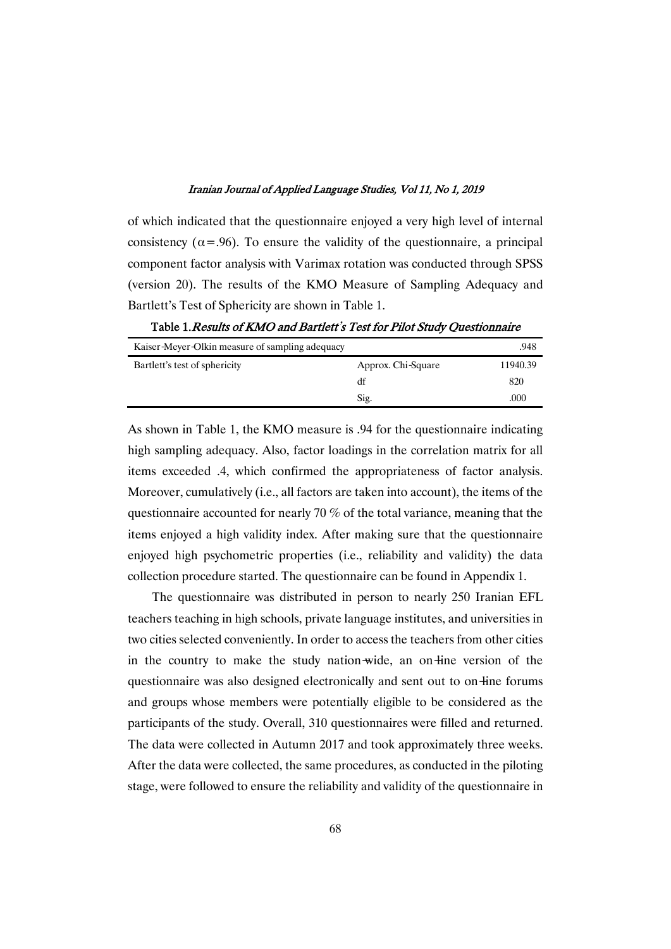of which indicated that the questionnaire enjoyed a very high level of internal consistency ( $\alpha$ =.96). To ensure the validity of the questionnaire, a principal component factor analysis with Varimax rotation was conducted through SPSS (version 20). The results of the KMO Measure of Sampling Adequacy and Bartlett's Test of Sphericity are shown in Table 1.

Kaiser-Meyer-Olkin measure of sampling adequacy .948 Bartlett's test of sphericity Approx. Chi-Square 11940.39 df 820 Sig. 000

Table 1. Results of KMO and Bartlett's Test for Pilot Study Questionnaire

As shown in Table 1, the KMO measure is .94 for the questionnaire indicating high sampling adequacy. Also, factor loadings in the correlation matrix for all items exceeded .4, which confirmed the appropriateness of factor analysis. Moreover, cumulatively (i.e., all factors are taken into account), the items of the questionnaire accounted for nearly 70  $\%$  of the total variance, meaning that the items enjoyed a high validity index. After making sure that the questionnaire enjoyed high psychometric properties (i.e., reliability and validity) the data collection procedure started. The questionnaire can be found in Appendix 1.

The questionnaire was distributed in person to nearly 250 Iranian EFL teachers teaching in high schools, private language institutes, and universities in two cities selected conveniently. In order to access the teachers from other cities in the country to make the study nation-wide, an on-line version of the questionnaire was also designed electronically and sent out to on-line forums and groups whose members were potentially eligible to be considered as the participants of the study. Overall, 310 questionnaires were filled and returned. The data were collected in Autumn 2017 and took approximately three weeks. After the data were collected, the same procedures, as conducted in the piloting stage, were followed to ensure the reliability and validity of the questionnaire in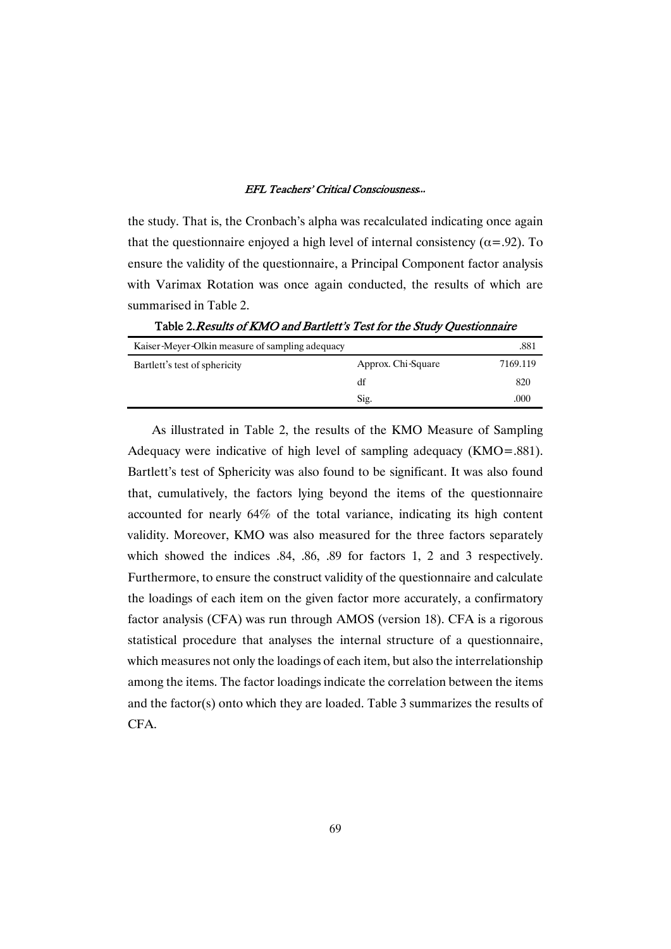the study. That is, the Cronbach's alpha was recalculated indicating once again that the questionnaire enjoyed a high level of internal consistency ( $\alpha$ =.92). To ensure the validity of the questionnaire, a Principal Component factor analysis with Varimax Rotation was once again conducted, the results of which are summarised in Table 2.

Kaiser-Meyer-Olkin measure of sampling adequacy 381 Bartlett's test of sphericity Approx.Chi-Square 7169.119 df 820  $Sig.$  000

Table 2. Results of KMO and Bartlett's Test for the Study Questionnaire

As illustrated in Table 2, the results of the KMO Measure of Sampling Adequacy were indicative of high level of sampling adequacy (KMO=.881). Bartlett's test of Sphericity was also found to be significant. It was also found that, cumulatively, the factors lying beyond the items of the questionnaire accounted for nearly 64% of the total variance, indicating its high content validity. Moreover, KMO was also measured for the three factors separately which showed the indices  $.84$ ,  $.86$ ,  $.89$  for factors 1, 2 and 3 respectively. Furthermore, to ensure the construct validity of the questionnaire and calculate the loadings of each item on the given factor more accurately, a confirmatory factor analysis (CFA) was run through AMOS (version 18). CFA is a rigorous statistical procedure that analyses the internal structure of a questionnaire, which measures not only the loadings of each item, but also the interrelationship among the items. The factor loadings indicate the correlation between the items and the factor(s) onto which they are loaded. Table  $3$  summarizes the results of CFA.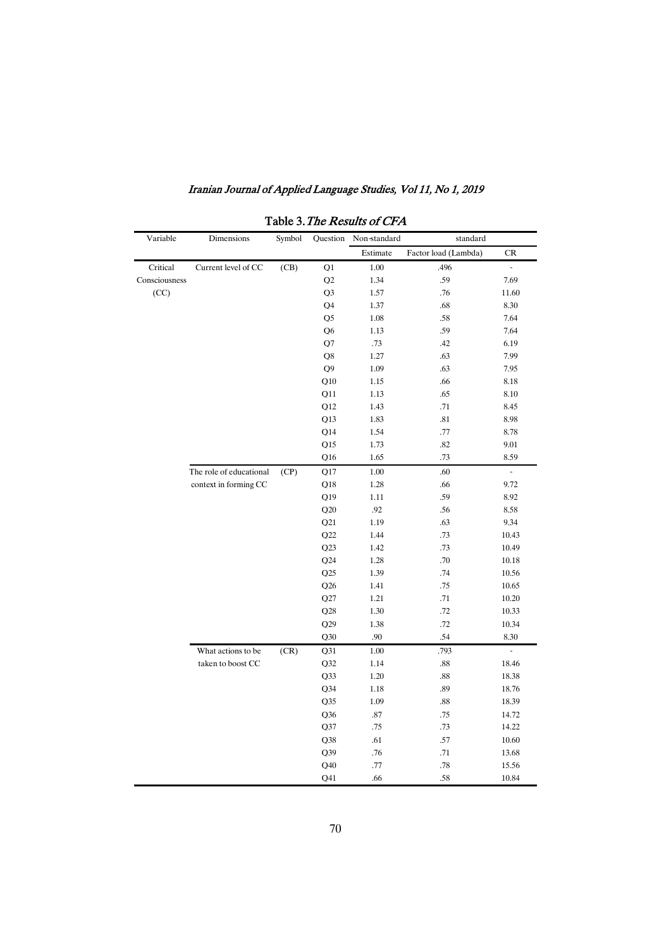| Variable      | Dimensions              | Symbol |                | Question Non-standard | standard             |                           |
|---------------|-------------------------|--------|----------------|-----------------------|----------------------|---------------------------|
|               |                         |        |                | Estimate              | Factor load (Lambda) | CR                        |
| Critical      | Current level of CC     | (CB)   | Q1             | 1.00                  | .496                 | $\mathbb{L}^{\mathbb{N}}$ |
| Consciousness |                         |        | Q2             | 1.34                  | .59                  | 7.69                      |
| (CC)          |                         |        | Q <sub>3</sub> | 1.57                  | .76                  | 11.60                     |
|               |                         |        | Q <sub>4</sub> | 1.37                  | .68                  | 8.30                      |
|               |                         |        | Q <sub>5</sub> | 1.08                  | .58                  | 7.64                      |
|               |                         |        | Q <sub>6</sub> | 1.13                  | .59                  | 7.64                      |
|               |                         |        | Q7             | .73                   | .42                  | 6.19                      |
|               |                         |        | Q8             | 1.27                  | .63                  | 7.99                      |
|               |                         |        | Q <sub>9</sub> | 1.09                  | .63                  | 7.95                      |
|               |                         |        | Q10            | 1.15                  | .66                  | 8.18                      |
|               |                         |        | Q11            | 1.13                  | .65                  | 8.10                      |
|               |                         |        | Q12            | 1.43                  | .71                  | 8.45                      |
|               |                         |        | Q13            | 1.83                  | .81                  | 8.98                      |
|               |                         |        | Q14            | 1.54                  | .77                  | 8.78                      |
|               |                         |        | Q15            | 1.73                  | .82                  | 9.01                      |
|               |                         |        | Q16            | 1.65                  | .73                  | 8.59                      |
|               | The role of educational | (CP)   | Q17            | 1.00                  | .60                  | L.                        |
|               | context in forming CC   |        | Q18            | 1.28                  | .66                  | 9.72                      |
|               |                         |        | Q19            | 1.11                  | .59                  | 8.92                      |
|               |                         |        | Q20            | .92                   | .56                  | 8.58                      |
|               |                         |        | Q21            | 1.19                  | .63                  | 9.34                      |
|               |                         |        | Q22            | 1.44                  | .73                  | 10.43                     |
|               |                         |        | Q23            | 1.42                  | .73                  | 10.49                     |
|               |                         |        | Q24            | 1.28                  | .70                  | 10.18                     |
|               |                         |        | Q25            | 1.39                  | .74                  | 10.56                     |
|               |                         |        | Q26            | 1.41                  | .75                  | 10.65                     |
|               |                         |        | Q27            | 1.21                  | .71                  | 10.20                     |
|               |                         |        | Q28            | 1.30                  | .72                  | 10.33                     |
|               |                         |        | Q29            | 1.38                  | .72                  | 10.34                     |
|               |                         |        | Q30            | .90                   | .54                  | 8.30                      |
|               | What actions to be      | (CR)   | Q31            | 1.00                  | .793                 | ä,                        |
|               | taken to boost CC       |        | Q32            | 1.14                  | .88                  | 18.46                     |
|               |                         |        | Q33            | 1.20                  | .88                  | 18.38                     |
|               |                         |        | $Q$ 34         | 1.18                  | .89                  | 18.76                     |
|               |                         |        | Q35            | 1.09                  | .88                  | 18.39                     |
|               |                         |        | Q36            | .87                   | .75                  | 14.72                     |
|               |                         |        | Q37            | .75                   | .73                  | 14.22                     |
|               |                         |        | Q38            | .61                   | .57                  | 10.60                     |
|               |                         |        | Q39            | .76                   | .71                  | 13.68                     |
|               |                         |        | Q40            | .77                   | .78                  | 15.56                     |
|               |                         |        | Q41            | .66                   | .58                  | 10.84                     |

Table 3. The Results of CFA

70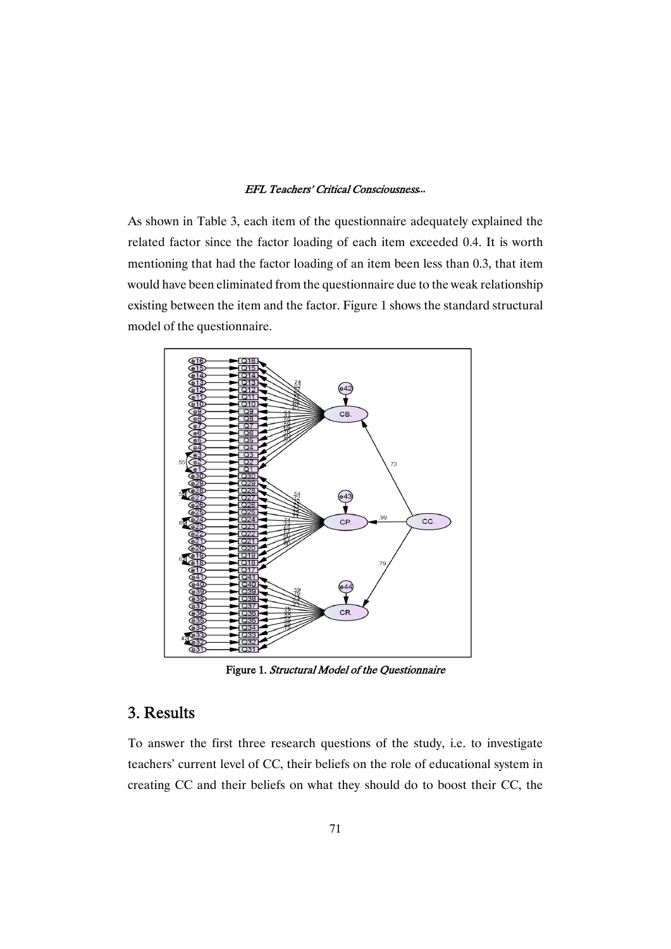As shown in Table 3, each item of the questionnaire adequately explained the related factor since the factor loading of each item exceeded 0.4. It is worth mentioning that had the factor loading of an item been less than 0.3, that item would have been eliminated from the questionnaire due to the weak relationship existing between the item and the factor. Figure 1 shows the standard structural model of the questionnaire.



Figure 1. Structural Model of the Questionnaire

# 3.Results

To answer the first three research questions of the study, i.e. to investigate teachers' current level of CC, their beliefs on the role of educational system in creating CC and their beliefs on what they should do to boost their CC, the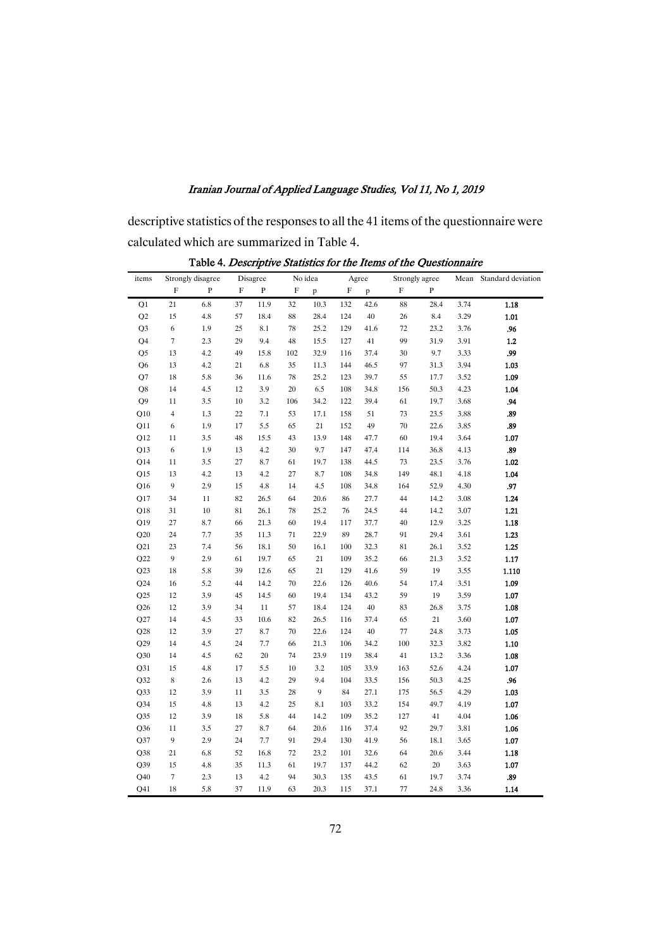descriptive statistics of the responses to all the 41 items of the questionnaire were calculated which are summarized in Table 4.

| items          |                         | Strongly disagree |             | Disagree  |                           | No idea      |     | Agree | Strongly agree            |              |      | Mean Standard deviation |
|----------------|-------------------------|-------------------|-------------|-----------|---------------------------|--------------|-----|-------|---------------------------|--------------|------|-------------------------|
|                | $\mathbf F$             | $\, {\bf P}$      | $\mathbf F$ | ${\bf P}$ | $\boldsymbol{\mathrm{F}}$ | $\, {\bf p}$ | F   | p     | $\boldsymbol{\mathrm{F}}$ | $\, {\bf P}$ |      |                         |
| Q1             | 21                      | 6.8               | 37          | 11.9      | 32                        | 10.3         | 132 | 42.6  | 88                        | 28.4         | 3.74 | 1.18                    |
| Q2             | 15                      | 4.8               | 57          | 18.4      | 88                        | 28.4         | 124 | 40    | 26                        | 8.4          | 3.29 | $1.01$                  |
| Q <sub>3</sub> | 6                       | 1.9               | 25          | 8.1       | 78                        | 25.2         | 129 | 41.6  | 72                        | 23.2         | 3.76 | .96                     |
| Q4             | 7                       | 2.3               | 29          | 9.4       | 48                        | 15.5         | 127 | 41    | 99                        | 31.9         | 3.91 | $1.2$                   |
| Q <sub>5</sub> | 13                      | 4.2               | 49          | 15.8      | 102                       | 32.9         | 116 | 37.4  | 30                        | 9.7          | 3.33 | .99                     |
| Q <sub>6</sub> | 13                      | 4.2               | 21          | 6.8       | 35                        | 11.3         | 144 | 46.5  | 97                        | 31.3         | 3.94 | 1.03                    |
| Q7             | 18                      | 5.8               | 36          | 11.6      | 78                        | 25.2         | 123 | 39.7  | 55                        | 17.7         | 3.52 | 1.09                    |
| $\mathbf{Q}8$  | 14                      | 4.5               | 12          | 3.9       | $20\,$                    | 6.5          | 108 | 34.8  | 156                       | 50.3         | 4.23 | 1.04                    |
| Q <sub>9</sub> | 11                      | 3.5               | 10          | 3.2       | 106                       | 34.2         | 122 | 39.4  | 61                        | 19.7         | 3.68 | .94                     |
| Q10            | $\overline{\mathbf{4}}$ | 1.3               | 22          | 7.1       | 53                        | 17.1         | 158 | 51    | 73                        | 23.5         | 3.88 | .89                     |
| Q11            | 6                       | 1.9               | 17          | 5.5       | 65                        | 21           | 152 | 49    | $70\,$                    | 22.6         | 3.85 | .89                     |
| Q12            | 11                      | 3.5               | 48          | 15.5      | 43                        | 13.9         | 148 | 47.7  | 60                        | 19.4         | 3.64 | $1.07\,$                |
| Q13            | 6                       | 1.9               | 13          | 4.2       | 30                        | 9.7          | 147 | 47.4  | 114                       | 36.8         | 4.13 | .89                     |
| Q14            | 11                      | 3.5               | 27          | 8.7       | 61                        | 19.7         | 138 | 44.5  | 73                        | 23.5         | 3.76 | 1.02                    |
| Q15            | 13                      | 4.2               | 13          | 4.2       | 27                        | 8.7          | 108 | 34.8  | 149                       | 48.1         | 4.18 | 1.04                    |
| Q16            | 9                       | 2.9               | 15          | 4.8       | 14                        | 4.5          | 108 | 34.8  | 164                       | 52.9         | 4.30 | $.97\,$                 |
| Q17            | 34                      | 11                | 82          | 26.5      | 64                        | 20.6         | 86  | 27.7  | 44                        | 14.2         | 3.08 | 1.24                    |
| Q18            | 31                      | $10\,$            | 81          | 26.1      | 78                        | 25.2         | 76  | 24.5  | 44                        | 14.2         | 3.07 | 1.21                    |
| Q19            | 27                      | 8.7               | 66          | 21.3      | 60                        | 19.4         | 117 | 37.7  | 40                        | 12.9         | 3.25 | 1.18                    |
| Q20            | 24                      | 7.7               | 35          | 11.3      | 71                        | 22.9         | 89  | 28.7  | 91                        | 29.4         | 3.61 | 1.23                    |
| Q21            | 23                      | 7.4               | 56          | 18.1      | 50                        | 16.1         | 100 | 32.3  | 81                        | 26.1         | 3.52 | 1.25                    |
| Q22            | 9                       | 2.9               | 61          | 19.7      | 65                        | 21           | 109 | 35.2  | 66                        | 21.3         | 3.52 | $1.17\,$                |
| Q23            | 18                      | 5.8               | 39          | 12.6      | 65                        | $21\,$       | 129 | 41.6  | 59                        | 19           | 3.55 | 1.110                   |
| Q24            | 16                      | 5.2               | 44          | 14.2      | 70                        | 22.6         | 126 | 40.6  | 54                        | 17.4         | 3.51 | 1.09                    |
| Q25            | 12                      | 3.9               | 45          | 14.5      | 60                        | 19.4         | 134 | 43.2  | 59                        | 19           | 3.59 | $1.07\,$                |
| Q26            | 12                      | 3.9               | 34          | $11\,$    | 57                        | 18.4         | 124 | 40    | 83                        | 26.8         | 3.75 | $1.08\,$                |
| Q27            | 14                      | 4.5               | 33          | 10.6      | 82                        | 26.5         | 116 | 37.4  | 65                        | 21           | 3.60 | 1.07                    |
| Q28            | 12                      | 3.9               | 27          | 8.7       | 70                        | 22.6         | 124 | 40    | 77                        | 24.8         | 3.73 | 1.05                    |
| Q29            | 14                      | 4.5               | 24          | 7.7       | 66                        | 21.3         | 106 | 34.2  | 100                       | 32.3         | 3.82 | 1.10                    |
| Q30            | 14                      | 4.5               | 62          | 20        | 74                        | 23.9         | 119 | 38.4  | 41                        | 13.2         | 3.36 | $1.08\,$                |
| Q31            | 15                      | 4.8               | 17          | 5.5       | 10                        | 3.2          | 105 | 33.9  | 163                       | 52.6         | 4.24 | 1.07                    |
| Q32            | 8                       | 2.6               | 13          | 4.2       | 29                        | 9.4          | 104 | 33.5  | 156                       | 50.3         | 4.25 | .96                     |
| Q33            | 12                      | 3.9               | 11          | 3.5       | 28                        | 9            | 84  | 27.1  | 175                       | 56.5         | 4.29 | 1.03                    |
| Q34            | 15                      | 4.8               | 13          | 4.2       | 25                        | 8.1          | 103 | 33.2  | 154                       | 49.7         | 4.19 | $1.07\,$                |
| Q35            | 12                      | 3.9               | 18          | 5.8       | 44                        | 14.2         | 109 | 35.2  | 127                       | 41           | 4.04 | 1.06                    |
| Q36            | 11                      | 3.5               | 27          | 8.7       | 64                        | 20.6         | 116 | 37.4  | 92                        | 29.7         | 3.81 | 1.06                    |
| Q37            | 9                       | 2.9               | 24          | 7.7       | 91                        | 29.4         | 130 | 41.9  | 56                        | 18.1         | 3.65 | $1.07\,$                |
| Q38            | 21                      | 6.8               | 52          | 16.8      | 72                        | 23.2         | 101 | 32.6  | 64                        | 20.6         | 3.44 | 1.18                    |
| Q39            | 15                      | 4.8               | 35          | 11.3      | 61                        | 19.7         | 137 | 44.2  | 62                        | 20           | 3.63 | $1.07\,$                |
| Q40            | $\tau$                  | 2.3               | 13          | 4.2       | 94                        | 30.3         | 135 | 43.5  | 61                        | 19.7         | 3.74 | .89                     |
| Q41            | 18                      | 5.8               | 37          | 11.9      | 63                        | 20.3         | 115 | 37.1  | 77                        | 24.8         | 3.36 | 1.14                    |

Table 4. Descriptive Statistics for the Items of the Questionnaire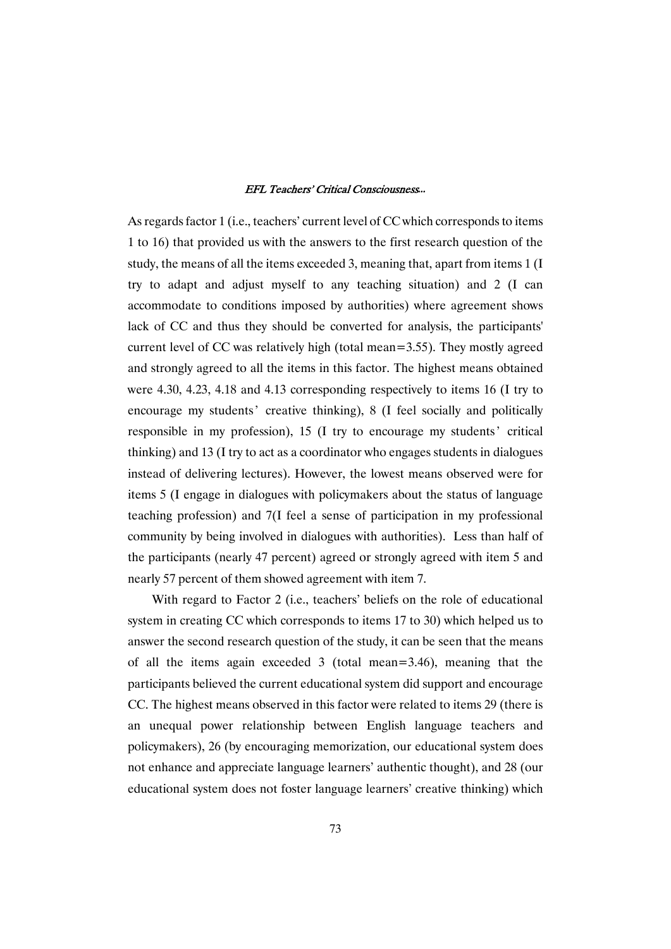As regards factor 1 (i.e., teachers' current level of CC which corresponds to items 1 to 16) that provided us with the answers to the first research question of the study, the means of all the items exceeded 3, meaning that, apart from items 1 (I try to adapt and adjust myself to any teaching situation) and 2 (I can accommodate to conditions imposed by authorities) where agreement shows lack of CC and thus they should be converted for analysis, the participants' current level of CC was relatively high (total mean=3.55). They mostly agreed and strongly agreed to all the items in this factor. The highest means obtained were  $4.30, 4.23, 4.18$  and  $4.13$  corresponding respectively to items 16 (I try to encourage my students' creative thinking), 8 (I feel socially and politically responsible in my profession), 15 (I try to encourage my students' critical thinking) and 13 (I try to act as a coordinator who engages students in dialogues instead of delivering lectures). However, the lowest means observed were for items 5 (I engage in dialogues with policymakers about the status of language teaching profession) and 7(I feel a sense of participation in my professional community by being involved in dialogues with authorities). Less than half of the participants (nearly 47 percent) agreed or strongly agreed with item 5 and nearly 57 percent of them showed agreement with item 7.

With regard to Factor 2 (i.e., teachers' beliefs on the role of educational system in creating CC which corresponds to items  $17$  to  $30$ ) which helped us to answer the second research question of the study, it can be seen that the means of all the items again exceeded 3 (total mean=3.46), meaning that the participants believed the current educational system did support and encourage CC. The highest means observed in this factor were related to items 29 (there is an unequal power relationship between English language teachers and policymakers), 26 (by encouraging memorization, our educational system does not enhance and appreciate language learners' authentic thought), and 28 (our educational system does not foster language learners' creative thinking) which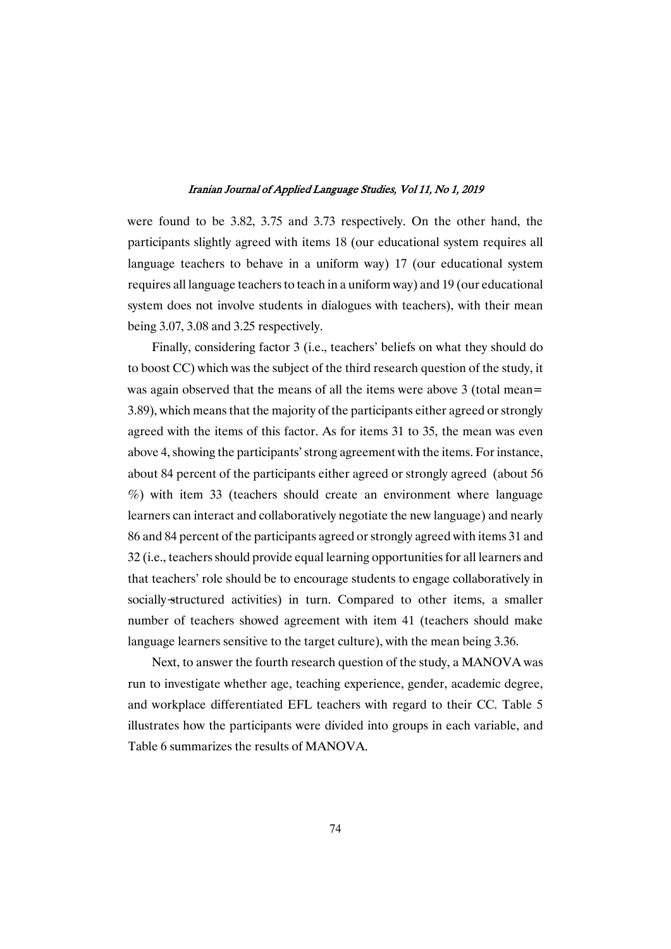were found to be 3.82, 3.75 and 3.73 respectively. On the other hand, the participants slightly agreed with items 18 (our educational system requires all language teachers to behave in a uniform way) 17 (our educational system requires all language teachers to teach in a uniform way) and 19 (our educational system does not involve students in dialogues with teachers), with their mean being 3.07, 3.08 and 3.25 respectively.

Finally, considering factor 3 (i.e., teachers' beliefs on what they should do to boost CC) which was the subject of the third research question of the study, it was again observed that the means of all the items were above 3 (total mean= 3.89), which means that the majority of the participants either agreed or strongly agreed with the items of this factor. As for items 31 to 35, the mean was even above 4, showing the participants' strong agreement with the items. For instance, about 84 percent of the participants either agreed or strongly agreed (about 56 %) with item 33 (teachers should create an environment where language learners can interact and collaboratively negotiate the new language) and nearly 86 and 84 percent of the participants agreed or strongly agreed with items 31 and 32 (i.e., teachers should provide equal learning opportunities for all learners and that teachers' role should be to encourage students to engage collaboratively in socially-structured activities) in turn. Compared to other items, a smaller number of teachers showed agreement with item 41 (teachers should make language learners sensitive to the target culture), with the mean being 3.36.

Next, to answer the fourth research question of the study, a MANOVA was run to investigate whether age, teaching experience, gender, academic degree, and workplace differentiated EFL teachers with regard to their CC. Table 5 illustrates how the participants were divided into groups in each variable, and Table 6 summarizes the results of MANOVA.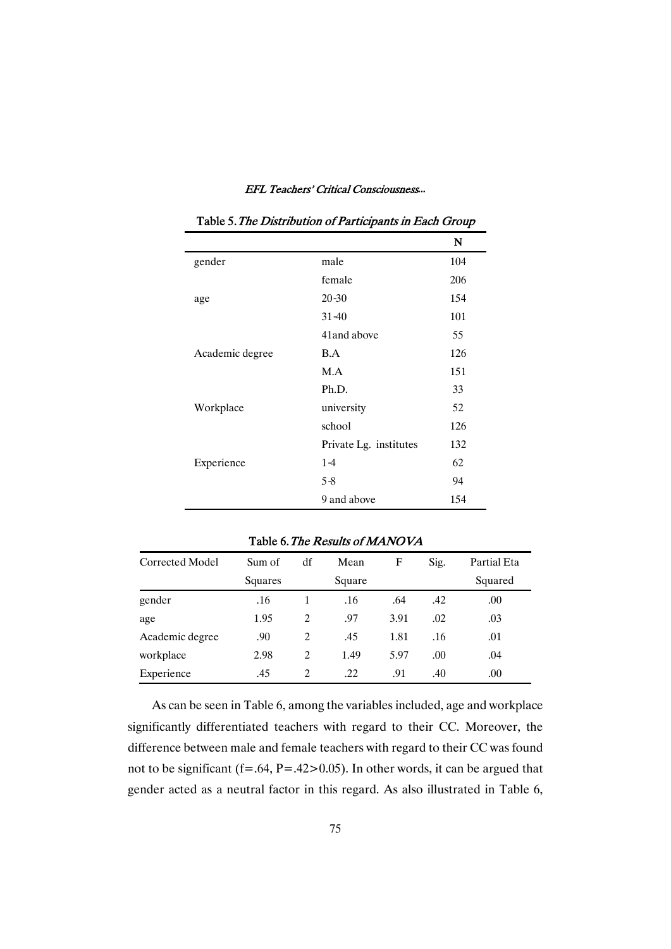|                 |                        | N   |
|-----------------|------------------------|-----|
| gender          | male                   | 104 |
|                 | female                 | 206 |
| age             | $20 - 30$              | 154 |
|                 | $31 - 40$              | 101 |
|                 | 41 and above           | 55  |
| Academic degree | B.A                    | 126 |
|                 | M.A                    | 151 |
|                 | Ph.D.                  | 33  |
| Workplace       | university             | 52  |
|                 | school                 | 126 |
|                 | Private Lg. institutes | 132 |
| Experience      | $1 - 4$                | 62  |
|                 | $5 - 8$                | 94  |
|                 | 9 and above            | 154 |

### Table 6. The Results of MANOVA

| Corrected Model | Sum of  | df | Mean   | F    | Sig. | Partial Eta |
|-----------------|---------|----|--------|------|------|-------------|
|                 | Squares |    | Square |      |      | Squared     |
| gender          | .16     | 1  | .16    | .64  | .42  | .00         |
| age             | 1.95    | 2  | .97    | 3.91 | .02  | .03         |
| Academic degree | .90     | 2  | .45    | 1.81 | .16  | .01         |
| workplace       | 2.98    | 2  | 1.49   | 5.97 | .00. | .04         |
| Experience      | .45     | 2  | .22    | .91  | .40  | .00.        |

As can be seen in Table 6, among the variables included, age and workplace significantly differentiated teachers with regard to their CC. Moreover, the difference between male and female teachers with regard to their CC was found not to be significant (f=.64, P=.42>0.05). In other words, it can be argued that gender acted as a neutral factor in this regard. As also illustrated in Table 6,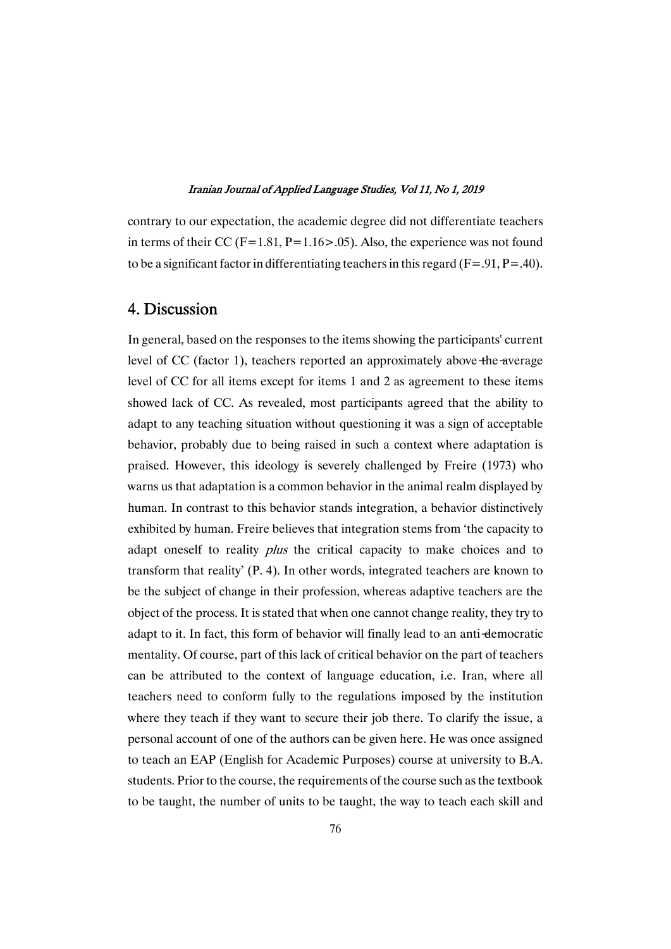contrary to our expectation, the academic degree did not differentiate teachers in terms of their CC (F=1.81, P=1.16>.05). Also, the experience was not found to be a significant factor in differentiating teachers in this regard (F=.91, P=.40).

## 4.Discussion

In general, based on the responses to the items showing the participants' current level of CC (factor 1), teachers reported an approximately above the average level of CC for all items except for items 1 and 2 as agreement to these items showed lack of CC. As revealed, most participants agreed that the ability to adapt to any teaching situation without questioning it was a sign of acceptable behavior, probably due to being raised in such a context where adaptation is praised. However, this ideology is severely challenged by Freire (1973) who warns us that adaptation is a common behavior in the animal realm displayed by human. In contrast to this behavior stands integration, a behavior distinctively exhibited by human. Freire believes that integration stems from 'the capacity to adapt oneself to reality *plus* the critical capacity to make choices and to transform that reality'  $(P, 4)$ . In other words, integrated teachers are known to be the subject of change in their profession, whereas adaptive teachers are the object of the process. It is stated that when one cannot change reality, they try to adapt to it. In fact, this form of behavior will finally lead to an anti-democratic mentality. Of course, part of this lack of critical behavior on the part of teachers can be attributed to the context of language education, i.e. Iran, where all teachers need to conform fully to the regulations imposed by the institution where they teach if they want to secure their job there. To clarify the issue, a personal account of one of the authors can be given here. He was once assigned to teach an EAP (English for Academic Purposes) course at university to B.A. students. Prior to the course, the requirements of the course such as the textbook to be taught, the number of units to be taught, the way to teach each skill and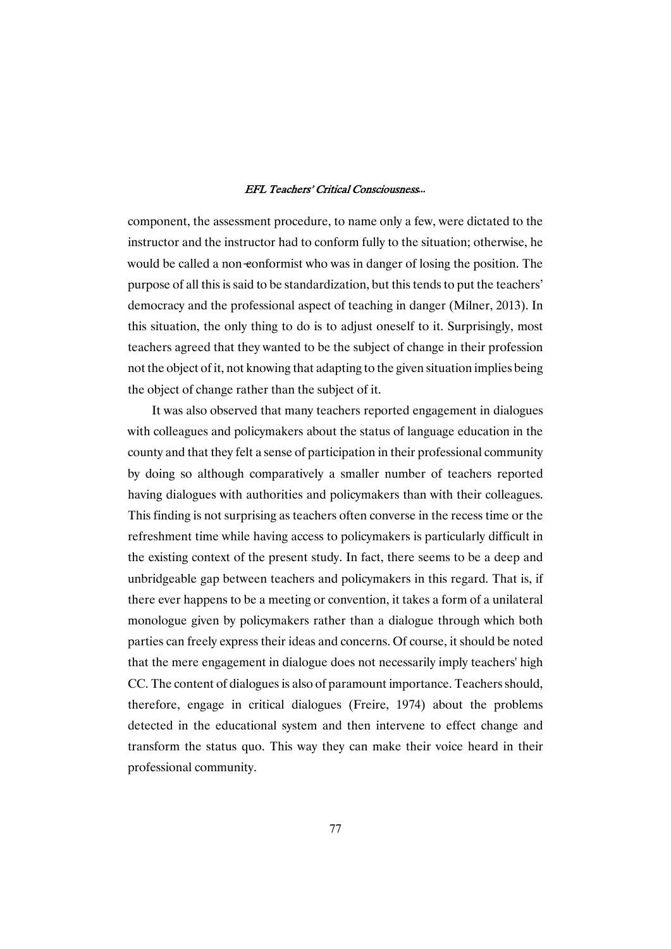component, the assessment procedure, to name only a few, were dictated to the instructor and the instructor had to conform fully to the situation; otherwise, he would be called a non-conformist who was in danger of losing the position. The purpose of all this is said to be standardization, but this tends to put the teachers' democracy and the professional aspect of teaching in danger (Milner, 2013). In this situation, the only thing to do is to adjust oneself to it. Surprisingly, most teachers agreed that they wanted to be the subject of change in their profession not the object of it, not knowing that adapting to the given situation implies being the object of change rather than the subject of it.

It was also observed that many teachers reported engagement in dialogues with colleagues and policymakers about the status of language education in the county and that they felt a sense of participation in their professional community by doing so although comparatively a smaller number of teachers reported having dialogues with authorities and policymakers than with their colleagues. This finding is not surprising as teachers often converse in the recess time or the refreshment time while having access to policymakers is particularly difficult in the existing context of the present study. In fact, there seems to be a deep and unbridgeable gap between teachers and policymakers in this regard. That is, if there ever happens to be a meeting or convention, it takes a form of a unilateral monologue given by policymakers rather than a dialogue through which both parties can freely express their ideas and concerns. Of course, it should be noted that the mere engagement in dialogue does not necessarily imply teachers' high CC. The content of dialogues is also of paramount importance. Teachers should, therefore, engage in critical dialogues (Freire, 1974) about the problems detected in the educational system and then intervene to effect change and transform the status quo. This way they can make their voice heard in their professional community.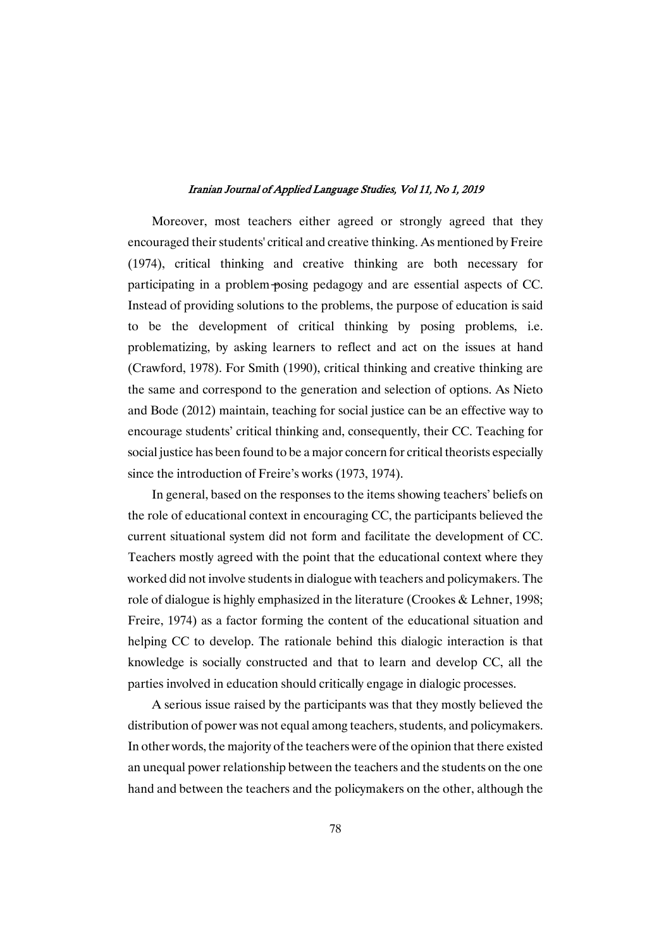Moreover, most teachers either agreed or strongly agreed that they encouraged their students' critical and creative thinking. As mentioned by Freire (1974), critical thinking and creative thinking are both necessary for participating in a problem-posing pedagogy and are essential aspects of CC. Instead of providing solutions to the problems, the purpose of education is said to be the development of critical thinking by posing problems, i.e. problematizing, by asking learners to reflect and act on the issues at hand (Crawford, 1978). For Smith (1990), critical thinking and creative thinking are the same and correspond to the generation and selection of options. As Nieto and Bode (2012) maintain, teaching for social justice can be an effective way to encourage students' critical thinking and, consequently, their CC. Teaching for social justice has been found to be a major concern for critical theorists especially since the introduction of Freire's works (1973, 1974).

In general, based on the responses to the items showing teachers' beliefs on the role of educational context in encouraging CC, the participants believed the current situational system did not form and facilitate the development of CC. Teachers mostly agreed with the point that the educational context where they worked did not involve students in dialogue with teachers and policymakers. The role of dialogue is highly emphasized in the literature (Crookes & Lehner, 1998; Freire, 1974) as a factor forming the content of the educational situation and helping CC to develop. The rationale behind this dialogic interaction is that knowledge is socially constructed and that to learn and develop CC, all the parties involved in education should critically engage in dialogic processes.

A serious issue raised by the participants was that they mostly believed the distribution of power was not equal among teachers, students, and policymakers. In other words, the majority of the teachers were of the opinion that there existed an unequal power relationship between the teachers and the students on the one hand and between the teachers and the policymakers on the other, although the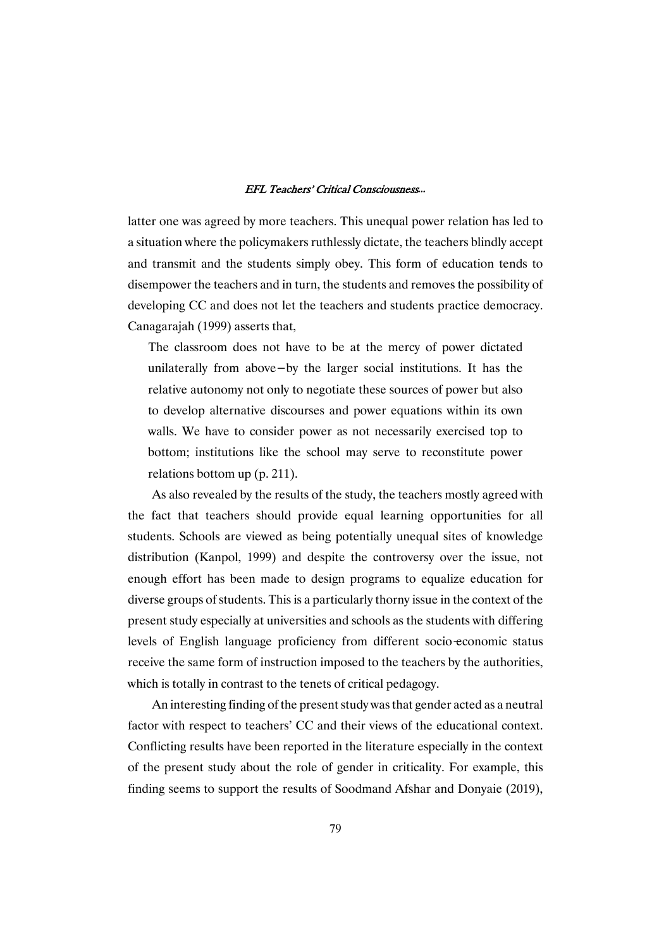latter one was agreed by more teachers. This unequal power relation has led to a situation where the policymakers ruthlessly dictate, the teachers blindly accept and transmit and the students simply obey. This form of education tends to disempower the teachers and in turn, the students and removes the possibility of developing CC and does not let the teachers and students practice democracy. Canagarajah (1999) asserts that,

The classroom does not have to be at the mercy of power dictated unilaterally from above- by the larger social institutions. It has the relative autonomy not only to negotiate these sources of power but also to develop alternative discourses and power equations within its own walls.We have to consider power as not necessarily exercised top to bottom; institutions like the school may serve to reconstitute power relations bottom up  $(p. 211)$ .

As also revealed by the results of the study, the teachers mostly agreed with the fact that teachers should provide equal learning opportunities for all students. Schools are viewed as being potentially unequal sites of knowledge distribution (Kanpol, 1999) and despite the controversy over the issue, not enough effort has been made to design programs to equalize education for diverse groups of students. This is a particularly thorny issue in the context of the present study especially at universities and schools as the students with differing levels of English language proficiency from different socio-economic status receive the same form of instruction imposed to the teachers by the authorities, which is totally in contrast to the tenets of critical pedagogy.

An interesting finding of the present study was that gender acted as a neutral factor with respect to teachers' CC and their views of the educational context. Conflicting results have been reported in the literature especially in the context of the present study about the role of genderin criticality. For example, this finding seems to support the results of Soodmand Afshar and Donyaie (2019),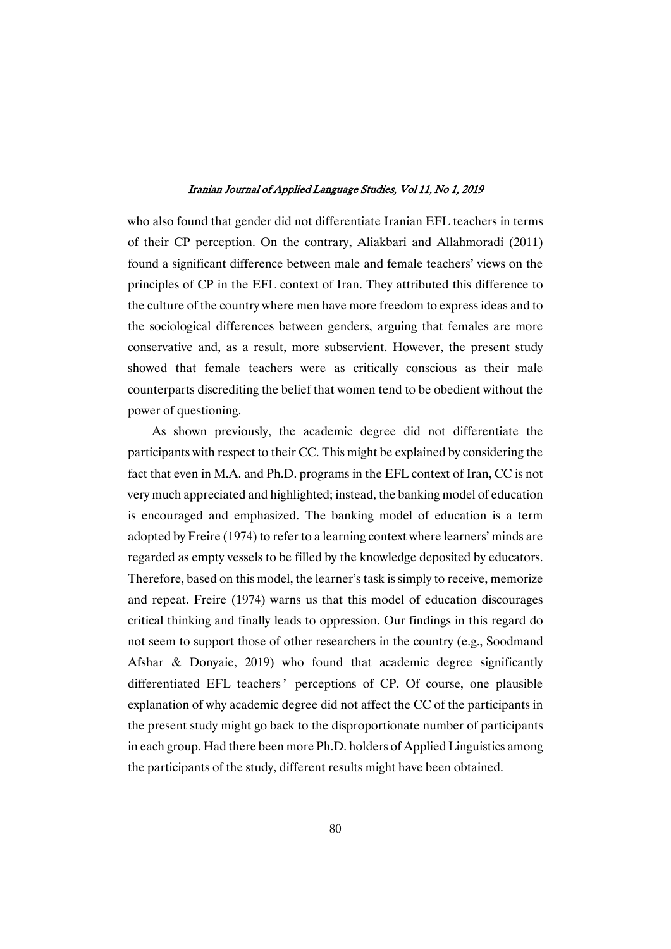who also found that gender did not differentiate Iranian EFL teachers in terms of their CP perception. On the contrary, Aliakbari and Allahmoradi (2011) found a significant difference between male and female teachers' views on the principles of CP in the EFL context of Iran. They attributed this difference to the culture of the country where men have more freedom to express ideas and to the sociological differences between genders, arguing that females are more conservative and, as a result, more subservient. However, the present study showed that female teachers were as critically conscious as their male counterparts discrediting the belief that women tend to be obedient without the power of questioning.

As shown previously, the academic degree did not differentiate the participants with respect to their CC. This might be explained by considering the fact that even in M.A. and Ph.D. programs in the EFL context of Iran, CC is not very much appreciated and highlighted; instead, the banking model of education is encouraged and emphasized. The banking model of education is a term adopted by Freire (1974) to refer to a learning context where learners' minds are regarded as empty vessels to be filled by the knowledge deposited by educators. Therefore, based on this model, the learner's task is simply to receive, memorize and repeat. Freire (1974) warns us that this model of education discourages critical thinking and finally leads to oppression. Our findings in this regard do not seem to support those of other researchers in the country (e.g., Soodmand Afshar & Donyaie, 2019) who found that academic degree significantly differentiated EFL teachers' perceptions of CP. Of course, one plausible explanation of why academic degree did not affect the CC of the participants in the present study might go back to the disproportionate number of participants in each group. Had there been more Ph.D. holders of Applied Linguistics among the participants of the study, different results might have been obtained.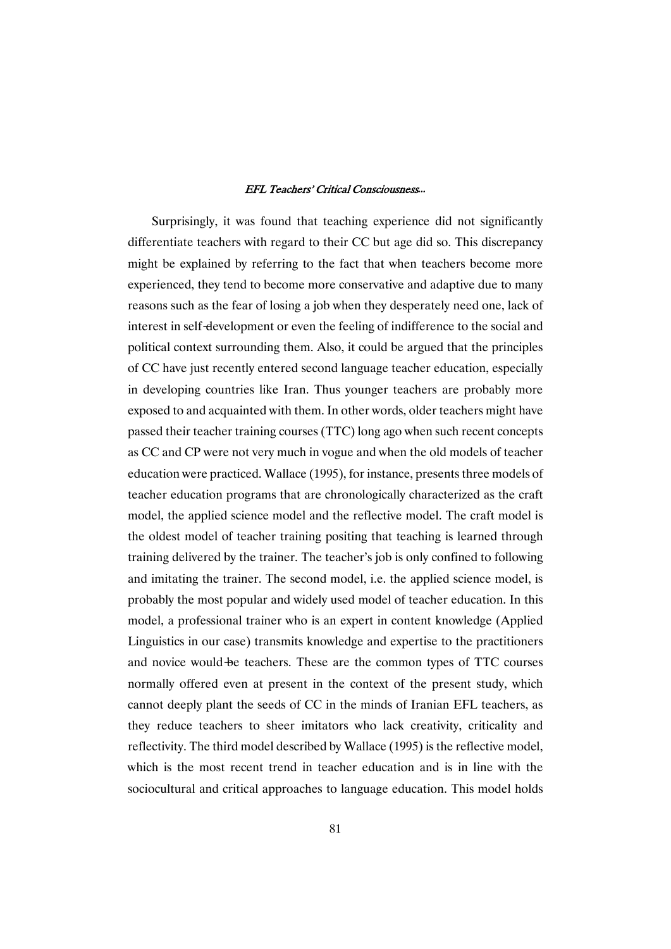Surprisingly, it was found that teaching experience did not significantly differentiate teachers with regard to their CC but age did so. This discrepancy might be explained by referring to the fact that when teachers become more experienced, they tend to become more conservative and adaptive due to many reasons such as the fear of losing a job when they desperately need one, lack of interest in self-development or even the feeling of indifference to the social and political context surrounding them. Also, it could be argued that the principles of CC have just recently entered second language teacher education, especially in developing countries like Iran. Thus younger teachers are probably more exposed to and acquainted with them. In other words, older teachers might have passed their teacher training courses (TTC) long ago when such recent concepts as CC and CP were not very much in vogue and when the old models of teacher education were practiced. Wallace (1995), for instance, presents three models of teacher education programs that are chronologically characterized as the craft model, the applied science model and the reflective model. The craft model is the oldest model of teacher training positing that teaching is learned through training delivered by the trainer. The teacher's job is only confined to following and imitating the trainer. The second model, i.e. the applied science model, is probably the most popular and widely used model of teacher education. In this model, a professional trainer who is an expert in content knowledge (Applied Linguistics in our case) transmits knowledge and expertise to the practitioners and novice would-be teachers. These are the common types of TTC courses normally offered even at present in the context of the present study, which cannot deeply plant the seeds of CC in the minds of Iranian EFL teachers, as they reduce teachers to sheer imitators who lack creativity, criticality and reflectivity. The third model described by Wallace (1995) is the reflective model, which is the most recent trend in teacher education and is in line with the sociocultural and critical approaches to language education. This model holds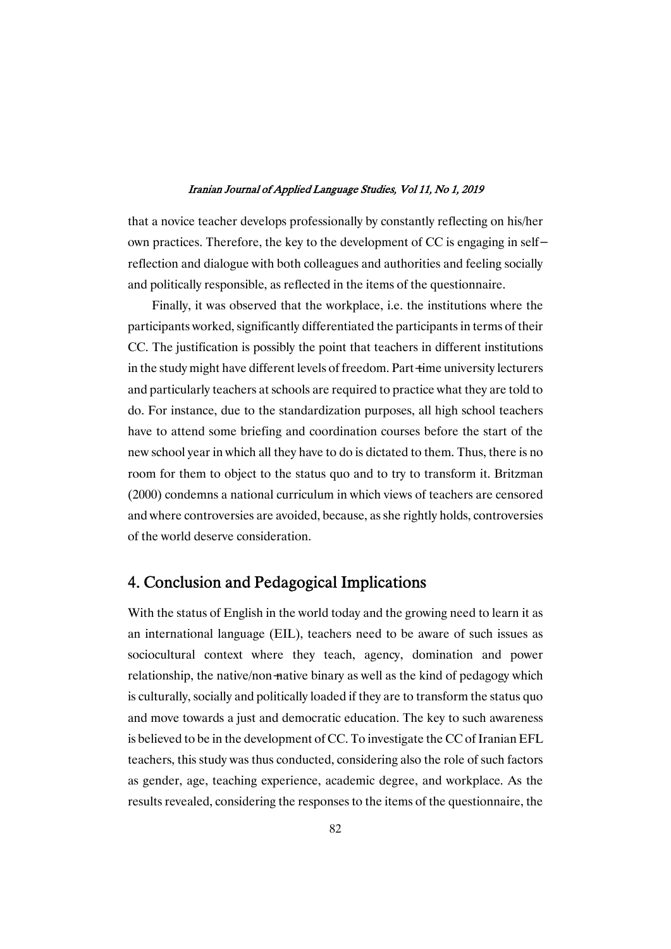that a novice teacher develops professionally by constantly reflecting on his/her own practices. Therefore, the key to the development of CC is engaging in selfreflection and dialogue with both colleagues and authorities and feeling socially and politically responsible, as reflected in the items of the questionnaire.

Finally, it was observed that the workplace, i.e. the institutions where the participants worked, significantly differentiated the participants in terms of their CC. The justification is possibly the point that teachers in different institutions in the study might have different levels of freedom. Part-time university lecturers and particularly teachers at schools are required to practice what they are told to do. For instance, due to the standardization purposes, all high school teachers have to attend some briefing and coordination courses before the start of the new school year in which all they have to do is dictated to them. Thus, there is no room for them to object to the status quo and to try to transform it. Britzman  $(2000)$  condemns a national curriculum in which views of teachers are censored and where controversies are avoided, because, as she rightly holds, controversies of the world deserve consideration.

# 4. Conclusion and Pedagogical Implications

With the status of English in the world today and the growing need to learn it as an international language (EIL), teachers need to be aware of such issues as sociocultural context where they teach, agency, domination and power relationship, the native/non-native binary as well as the kind of pedagogy which is culturally, socially and politically loaded if they are to transform the status quo and move towards a just and democratic education. The key to such awareness is believed to be in the development of CC. To investigate the CC of Iranian EFL teachers, this study was thus conducted, considering also the role of such factors as gender, age, teaching experience, academic degree, and workplace. As the results revealed, considering the responses to the items of the questionnaire, the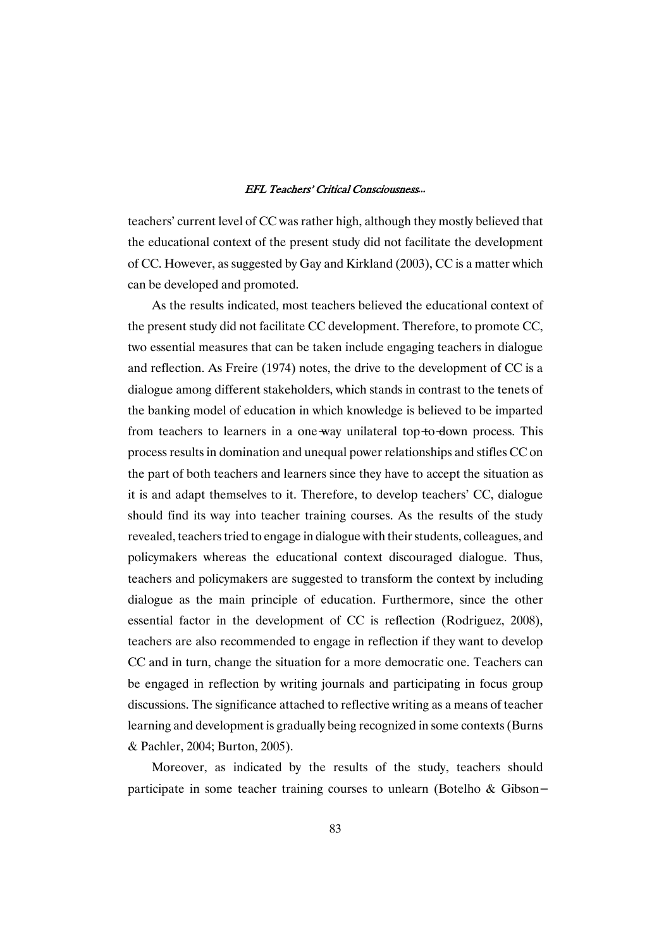teachers' current level of CC was rather high, although they mostly believed that the educational context of the present study did not facilitate the development of CC. However, as suggested by Gay and Kirkland (2003), CC is a matter which can be developed and promoted.

As the results indicated, most teachers believed the educational context of the present study did not facilitate CC development. Therefore, to promote CC, two essential measures that can be taken include engaging teachers in dialogue and reflection. As Freire  $(1974)$  notes, the drive to the development of CC is a dialogue among different stakeholders, which stands in contrast to the tenets of the banking model of education in which knowledge is believed to be imparted from teachers to learners in a one-way unilateral top-to-down process. This processresultsindominationandunequalpowerrelationshipsandstiflesCCon the part of both teachers and learners since they have to accept the situation as itisandadapt themselves toit.Therefore, to develop teachers'CC, dialogue should find its way into teacher training courses.As the results of the study revealed, teachers tried to engage in dialogue with their students, colleagues, and policymakers whereas the educational context discouraged dialogue. Thus, teachers and policymakers are suggested to transform the context by including dialogue as the main principle of education. Furthermore, since the other essential factor in the development of CC is reflection (Rodriguez, 2008), teachers are also recommended to engage in reflection if they want to develop CC and in turn, change the situation for a more democratic one. Teachers can be engaged in reflection by writing journals and participating in focus group discussions. The significance attached to reflective writing as a means of teacher learning and development is gradually being recognized in some contexts (Burns & Pachler, 2004; Burton, 2005).

Moreover, as indicated by the results of the study, teachers should participate in some teacher training courses to unlearn (Botelho & Gibson-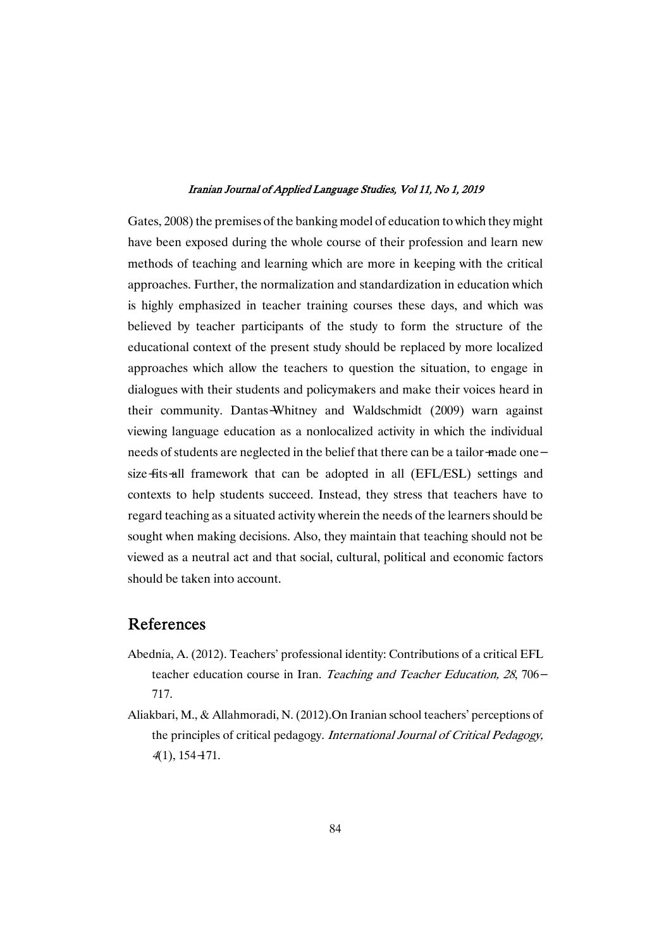Gates, 2008) the premises of the banking model of education to which they might have been exposed during the whole course of their profession and learn new methods of teaching and learning which are more in keeping with the critical approaches. Further, the normalization and standardization in education which is highly emphasized in teacher training courses these days, and which was believed by teacher participants of the study to form the structure of the educational context of the present study should be replaced by more localized approaches which allow the teachers to question the situation, to engage in dialogues with their students and policymakers and make their voices heard in their community. Dantas-Whitney and Waldschmidt (2009) warn against viewing language education as a nonlocalized activity in which the individual needs of students are neglected in the belief that there can be a tailor-made onesize-fits-all framework that can be adopted in all (EFL/ESL) settings and contexts to help students succeed. Instead, they stress that teachers have to regard teaching as a situated activity wherein the needs of the learners should be sought when making decisions. Also, they maintain that teaching should not be viewed as a neutral act and that social, cultural, political and economic factors should be taken into account.

### References

- Abednia, A. (2012). Teachers' professional identity: Contributions of a critical EFL teacher education course in Iran. Teaching and Teacher Education, 28, 706-717.
- Aliakbari, M., & Allahmoradi, N. (2012). On Iranian school teachers' perceptions of the principles of critical pedagogy. International Journal of Critical Pedagogy, 4(1),154-171.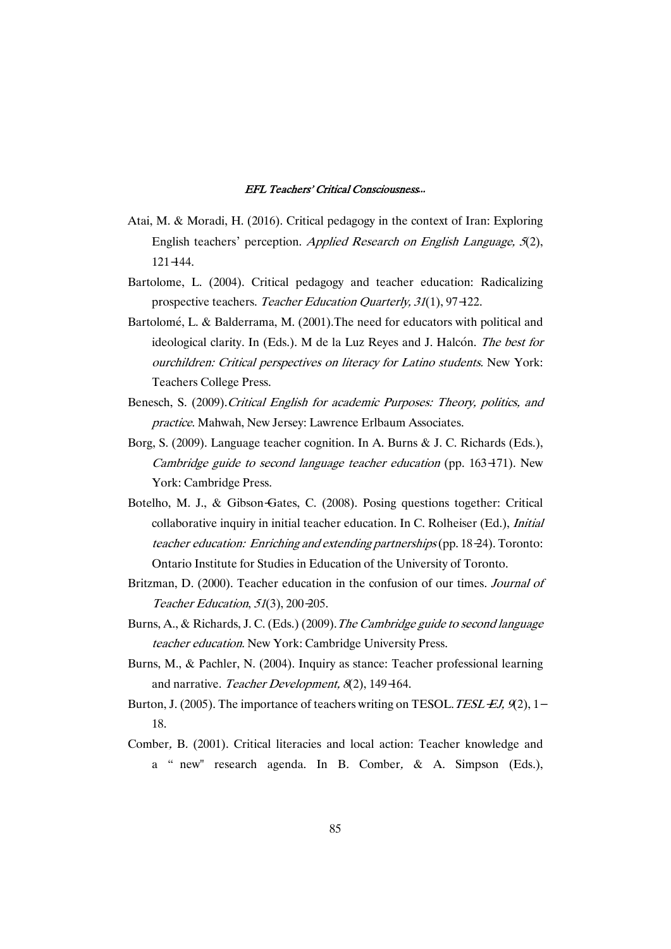- Atai, M. & Moradi, H. (2016). Critical pedagogy in the context of Iran: Exploring English teachers' perception. Applied Research on English Language,  $5(2)$ , 121-144.
- Bartolome, L. (2004). Critical pedagogy and teacher education: Radicalizing prospective teachers. Teacher Education Quarterly, 31(1), 97-122.
- Bartolomé, L. & Balderrama, M. (2001). The need for educators with political and ideological clarity. In (Eds.). M de la Luz Reyes and J. Halcón. The best for ourchildren: Critical perspectives on literacy for Latino students. New York: Teachers College Press.
- Benesch, S. (2009).Critical English for academic Purposes: Theory, politics, and practice. Mahwah, New Jersey: Lawrence Erlbaum Associates.
- Borg, S. (2009). Language teacher cognition. In A. Burns & J. C. Richards (Eds.), Cambridge guide to second language teacher education (pp. 163-171). New York: Cambridge Press.
- Botelho, M. J., & Gibson-Gates, C. (2008). Posing questions together: Critical collaborative inquiry in initial teacher education. In C. Rolheiser (Ed.), Initial teacher education: Enriching and extending partnerships(pp. 18-24). Toronto: Ontario Institute for Studies in Education of the University of Toronto.
- Britzman, D. (2000). Teacher education in the confusion of our times. Journal of Teacher Education,  $51(3)$ ,  $200-205$ .
- Burns, A., & Richards, J. C. (Eds.) (2009). The Cambridge guide to second language teacher education. New York: Cambridge University Press.
- Burns, M., & Pachler, N. (2004). Inquiry as stance: Teacher professional learning and narrative. Teacher Development, 8(2), 149-164.
- Burton, J. (2005). The importance of teachers writing on TESOL. TESL-EJ,  $9(2)$ , 1-18.
- Comber, B. (2001). Critical literacies and local action: Teacher knowledge and a " new" research agenda. In B. Comber, & A. Simpson (Eds.),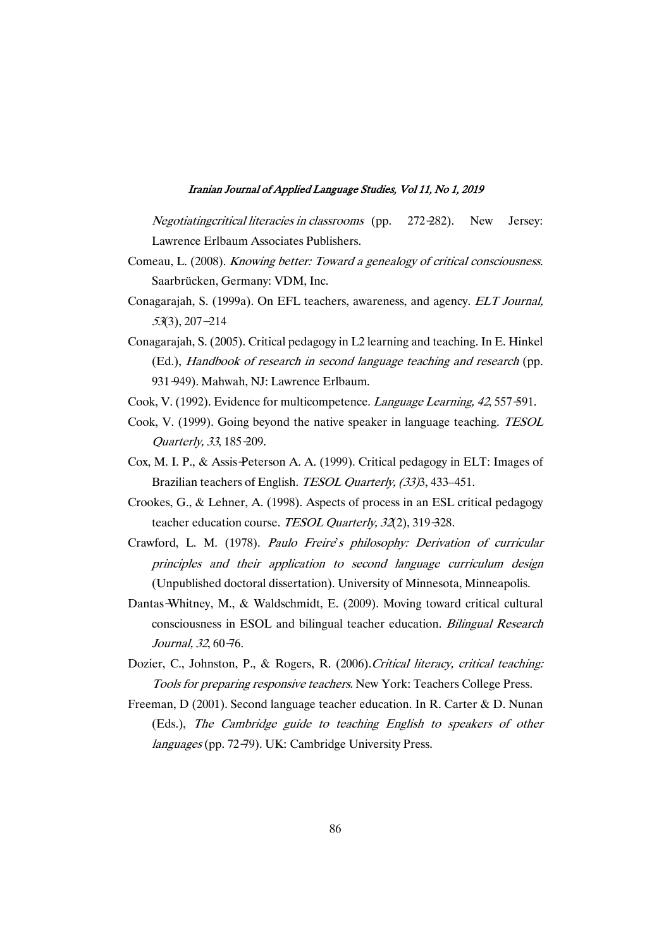Negotiatingcritical literacies in classrooms (pp. 272-282). New Jersey: Lawrence Erlbaum Associates Publishers.

- Comeau, L. (2008). Knowing better: Toward a genealogy of critical consciousness. Saarbrücken, Germany: VDM, Inc.
- Conagarajah, S. (1999a). On EFL teachers, awareness, and agency. ELT Journal, <sup>53</sup>(3),207-214
- Conagarajah, S. (2005). Critical pedagogy in L2 learning and teaching. In E. Hinkel (Ed.), Handbook of research in second language teaching and research (pp. 931-949). Mahwah, NJ: Lawrence Erlbaum.
- Cook, V. (1992). Evidence for multicompetence. *Language Learning, 42,* 557-591.
- Cook, V. (1999). Going beyond the native speaker in language teaching. TESOL Quarterly,33,185-209.
- Cox, M. I. P., & Assis-Peterson A. A. (1999). Critical pedagogy in ELT: Images of Brazilian teachers of English. TESOL Quarterly, (33)3, 433–451.
- Crookes, G., & Lehner, A. (1998). Aspects of process in an ESL critical pedagogy teacher education course. TESOL Quarterly, 32(2), 319-328.
- Crawford, L. M. (1978). Paulo Freire's philosophy: Derivation of curricular principles and their application to second language curriculum design (Unpublished doctoral dissertation). University of Minnesota, Minneapolis.
- Dantas-Whitney, M., & Waldschmidt, E. (2009). Moving toward critical cultural consciousness in ESOL and bilingual teacher education. *Bilingual Research* Journal, 32, 60-76.
- Dozier, C., Johnston, P., & Rogers, R. (2006). Critical literacy, critical teaching: Tools for preparing responsive teachers. New York: Teachers College Press.
- Freeman, D (2001). Second language teacher education. In R. Carter & D. Nunan (Eds.), The Cambridge guide to teaching English to speakers of other languages (pp. 72-79). UK: Cambridge University Press.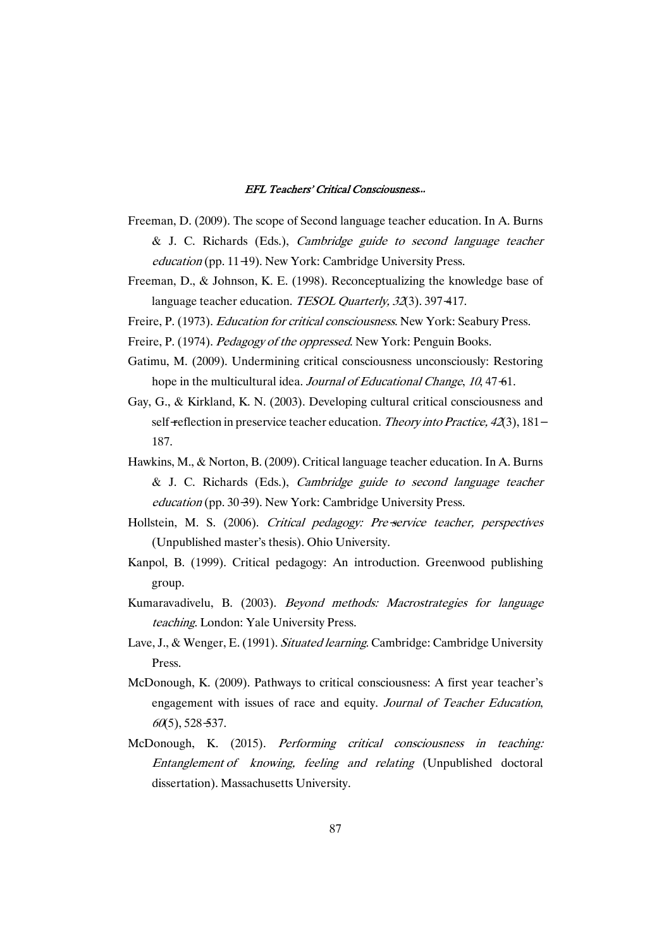- Freeman, D. (2009). The scope of Second language teacher education. In A. Burns & J. C. Richards (Eds.), Cambridge guide to second language teacher education (pp. 11-19). New York: Cambridge University Press.
- Freeman, D., & Johnson, K. E. (1998). Reconceptualizing the knowledge base of language teacher education. TESOL Quarterly, 32(3). 397-417.
- Freire, P. (1973). Education for critical consciousness. New York: Seabury Press.
- Freire, P. (1974). *Pedagogy of the oppressed*. New York: Penguin Books.
- Gatimu, M. (2009). Undermining critical consciousness unconsciously: Restoring hope in the multicultural idea. Journal of Educational Change, 10,47-61.
- Gay, G., & Kirkland, K. N. (2003). Developing cultural critical consciousness and self-reflection in preservice teacher education. Theory into Practice,  $42(3)$ ,  $181-$ 187.
- Hawkins, M., & Norton, B. (2009). Critical language teacher education. In A. Burns & J. C. Richards (Eds.), Cambridge guide to second language teacher education (pp. 30-39). New York: Cambridge University Press.
- Hollstein, M. S. (2006). Critical pedagogy: Pre-service teacher, perspectives (Unpublished master's thesis). Ohio University.
- Kanpol, B. (1999). Critical pedagogy: An introduction. Greenwood publishing group.
- Kumaravadivelu, B. (2003). Beyond methods: Macrostrategies for language teaching. London: Yale University Press.
- Lave, J., & Wenger, E. (1991). Situated learning. Cambridge: Cambridge University Press.
- McDonough,K. (2009).Pathways to critical consciousness:A first year teacher's engagement with issues of race and equity. Journal of Teacher Education,  $60(5)$ , 528-537.
- McDonough, K. (2015). Performing critical consciousness in teaching: Entanglement of knowing, feeling and relating (Unpublished doctoral dissertation). Massachusetts University.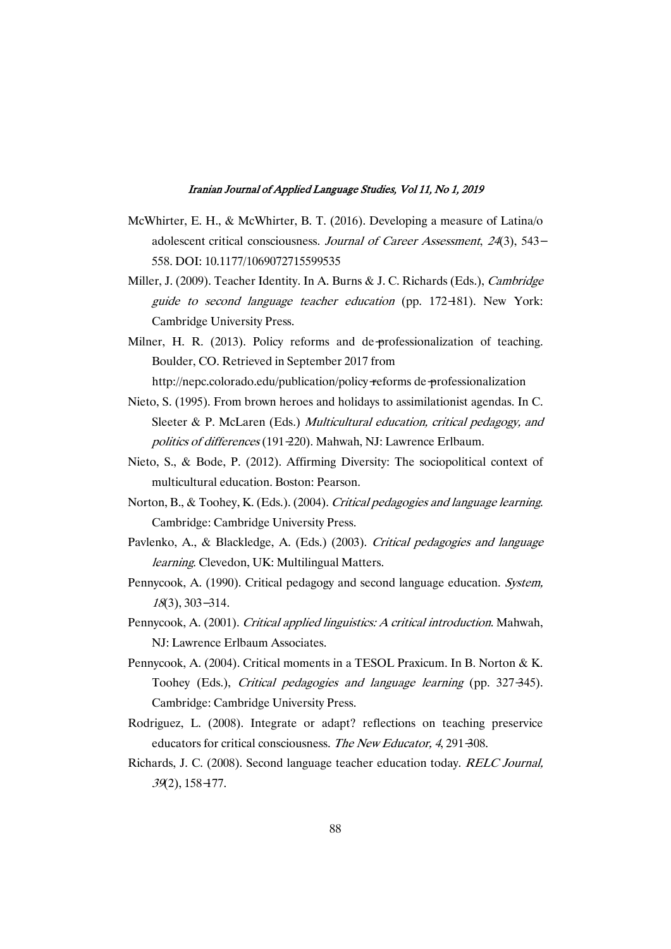- McWhirter, E. H., & McWhirter, B. T. (2016). Developing a measure of Latina/o adolescent critical consciousness. Journal of Career Assessment,  $24(3)$ , 543-558.DOI:10.1177/1069072715599535
- Miller, J. (2009). Teacher Identity. In A. Burns & J. C. Richards (Eds.), *Cambridge* guide to second language teacher education (pp. 172-181). New York: Cambridge University Press.
- Milner, H. R. (2013). Policy reforms and de-professionalization of teaching. Boulder, CO. Retrieved in September 2017 from http://nepc.colorado.edu/publication/policy-reforms de-professionalization
- Nieto, S. (1995). From brown heroes and holidays to assimilationist agendas. In C. Sleeter & P. McLaren (Eds.) Multicultural education, critical pedagogy, and politics of differences (191-220). Mahwah, NJ: Lawrence Erlbaum.
- Nieto, S., & Bode, P. (2012). Affirming Diversity: The sociopolitical context of multicultural education. Boston: Pearson.
- Norton, B., & Toohey, K. (Eds.). (2004). Critical pedagogies and language learning. Cambridge: Cambridge University Press.
- Pavlenko, A., & Blackledge, A. (Eds.) (2003). Critical pedagogies and language learning. Clevedon, UK: Multilingual Matters.
- Pennycook, A. (1990). Critical pedagogy and second language education. System, <sup>18</sup>(3),303-314.
- Pennycook, A. (2001). Critical applied linguistics: A critical introduction. Mahwah, NJ: Lawrence Erlbaum Associates.
- Pennycook, A. (2004). Critical moments in a TESOL Praxicum. In B. Norton & K. Toohey (Eds.), Critical pedagogies and language learning (pp. 327-345). Cambridge: Cambridge University Press.
- Rodriguez, L. (2008). Integrate or adapt? reflections on teaching preservice educators for critical consciousness. The New Educator, 4, 291-308.
- Richards, J. C. (2008). Second language teacher education today. RELC Journal, 39(2),158-177.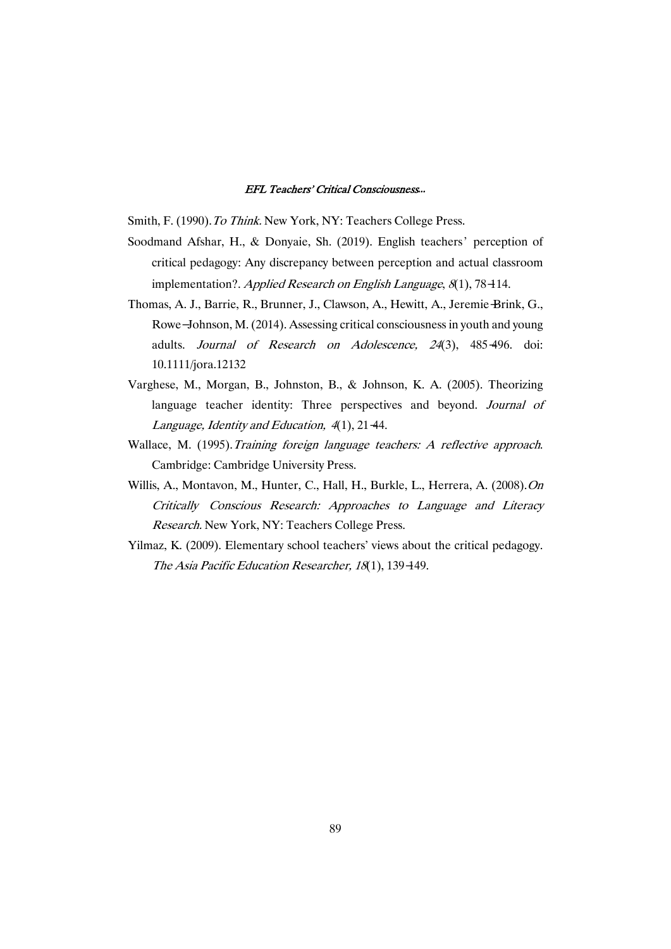Smith, F. (1990). To Think. New York, NY: Teachers College Press.

- Soodmand Afshar, H., & Donyaie, Sh. (2019). English teachers' perception of critical pedagogy: Any discrepancy between perception and actual classroom implementation?. Applied Research on English Language,  $8(1)$ , 78-114.
- Thomas,A.J.,Barrie,R.,Brunner,J.,Clawson,A.,Hewitt,A.,Jeremie-Brink,G., Rowe-Johnson, M. (2014). Assessing critical consciousness in youth and young adults. Journal of Research on Adolescence, <sup>24</sup>(3), 485-496. doi: 10.1111/jora.12132
- Varghese, M., Morgan, B., Johnston, B., & Johnson, K. A. (2005). Theorizing language teacher identity: Three perspectives and beyond. Journal of Language, Identity and Education, 4(1), 21-44.
- Wallace, M. (1995).Training foreign language teachers: A reflective approach. Cambridge: Cambridge University Press.
- Willis, A., Montavon, M., Hunter, C., Hall, H., Burkle, L., Herrera, A. (2008). On Critically Conscious Research: Approaches to Language and Literacy Research. New York, NY: Teachers College Press.
- Yilmaz, K. (2009). Elementary school teachers' views about the critical pedagogy. The Asia Pacific Education Researcher, 18(1), 139-149.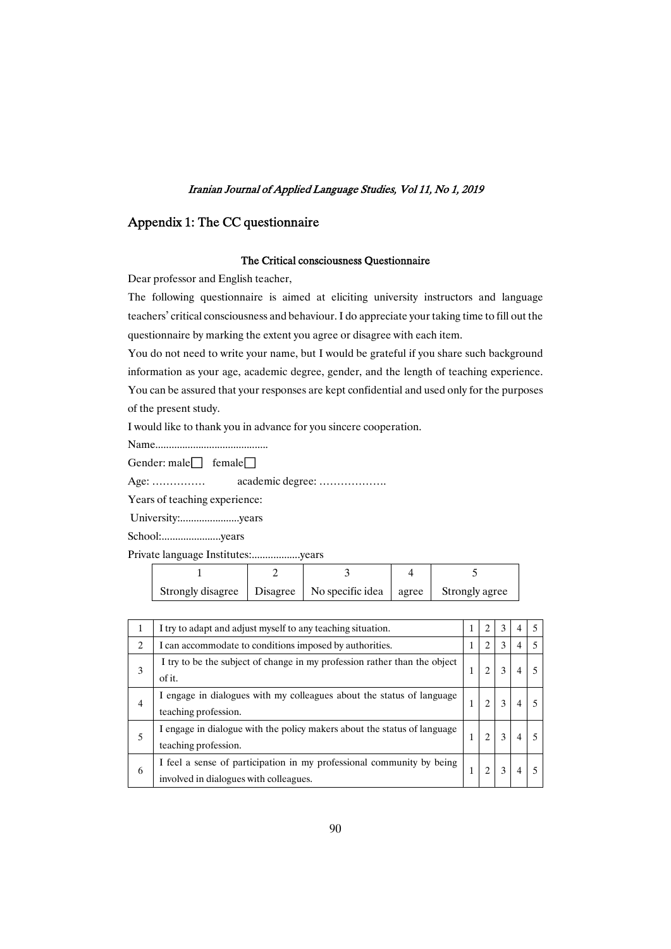### Appendix 1: The CC questionnaire

### The Critical consciousness Questionnaire

Dear professor and English teacher,

The following questionnaire is aimed at eliciting university instructors and language teachers' critical consciousness and behaviour. I do appreciate your taking time to fill out the questionnaire by marking the extent you agree or disagree with each item.

You do not need to write your name, but I would be grateful if you share such background information as your age, academic degree, gender, and the length of teaching experience. You can be assured that your responses are kept confidential and used only for the purposes of the present study.

I would like to thank you in advance for you sincere cooperation.

Name..........................................

Gender: male $\Box$  female $\Box$ 

Age:……………academicdegree:……………….

Years of teaching experience:

University:......................years

School:......................years

Private language Institutes:....................years

| Strongly disagree   Disagree   No specific idea   agree |  | Strongly agree |
|---------------------------------------------------------|--|----------------|

| 1              | I try to adapt and adjust myself to any teaching situation.                                                     |  | 3 |   | 5 |
|----------------|-----------------------------------------------------------------------------------------------------------------|--|---|---|---|
| $\overline{c}$ | I can accommodate to conditions imposed by authorities.                                                         |  | 3 | 4 | 5 |
| 3              | I try to be the subject of change in my profession rather than the object<br>of it.                             |  |   |   |   |
| 4              | I engage in dialogues with my colleagues about the status of language<br>teaching profession.                   |  |   |   |   |
| 5              | I engage in dialogue with the policy makers about the status of language<br>teaching profession.                |  |   |   |   |
| 6              | I feel a sense of participation in my professional community by being<br>involved in dialogues with colleagues. |  |   |   |   |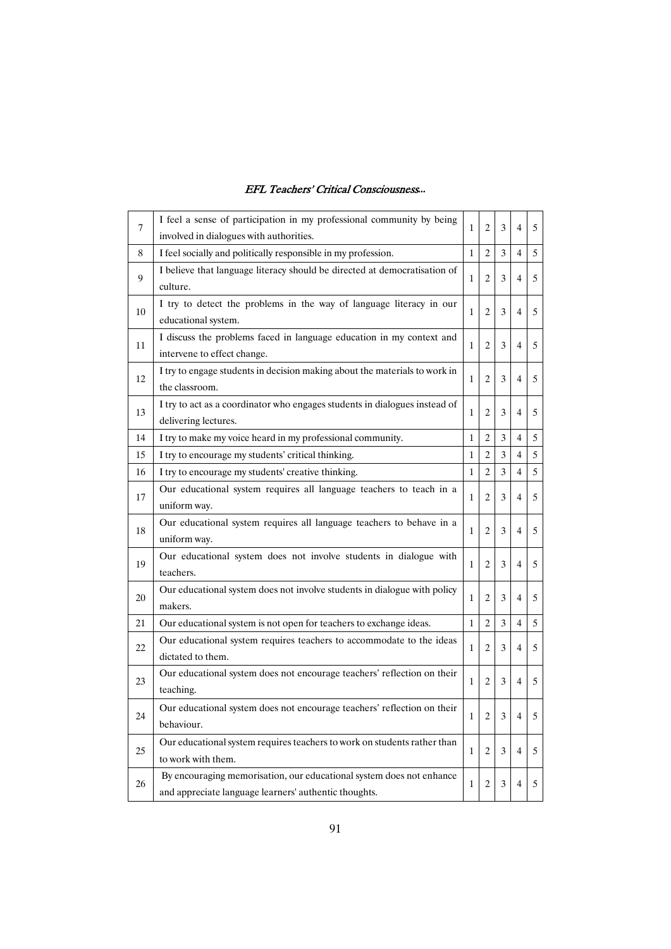| 7      | I feel a sense of participation in my professional community by being<br>involved in dialogues with authorities.              | 1            | 2              | 3 | 4              | 5 |
|--------|-------------------------------------------------------------------------------------------------------------------------------|--------------|----------------|---|----------------|---|
| 8      | I feel socially and politically responsible in my profession.                                                                 | $\mathbf{1}$ | $\overline{c}$ | 3 | $\overline{4}$ | 5 |
| 9      | I believe that language literacy should be directed at democratisation of<br>culture.                                         | 1            | 2              | 3 | 4              | 5 |
| 10     | I try to detect the problems in the way of language literacy in our<br>educational system.                                    | 1            | 2              | 3 | 4              | 5 |
| 11     | I discuss the problems faced in language education in my context and<br>intervene to effect change.                           | 1            | 2              | 3 | 4              | 5 |
| 12     | I try to engage students in decision making about the materials to work in<br>the classroom.                                  | 1            | 2              | 3 | $\overline{4}$ | 5 |
| 13     | I try to act as a coordinator who engages students in dialogues instead of<br>delivering lectures.                            | 1            | 2              | 3 | 4              | 5 |
| 14     | I try to make my voice heard in my professional community.                                                                    | 1            | $\overline{c}$ | 3 | $\overline{4}$ | 5 |
| 15     | I try to encourage my students' critical thinking.                                                                            | 1            | $\overline{c}$ | 3 | 4              | 5 |
| 16     | I try to encourage my students' creative thinking.                                                                            | $\mathbf{1}$ | $\overline{c}$ | 3 | 4              | 5 |
| 17     | Our educational system requires all language teachers to teach in a<br>uniform way.                                           | 1            | 2              | 3 | 4              | 5 |
| 18     | Our educational system requires all language teachers to behave in a<br>uniform way.                                          | $\mathbf{1}$ | $\overline{c}$ | 3 | 4              | 5 |
| 19     | Our educational system does not involve students in dialogue with<br>teachers.                                                | $\mathbf{1}$ | 2              | 3 | 4              | 5 |
| 20     | Our educational system does not involve students in dialogue with policy<br>makers.                                           | 1            | 2              | 3 | 4              | 5 |
| 21     | Our educational system is not open for teachers to exchange ideas.                                                            | 1            | 2              | 3 | 4              | 5 |
| 22     | Our educational system requires teachers to accommodate to the ideas<br>dictated to them.                                     | 1            | 2              | 3 | 4              | 5 |
| 23     | Our educational system does not encourage teachers' reflection on their<br>teaching.                                          | 1            | 2              | 3 | 4              | 5 |
| 24     | Our educational system does not encourage teachers' reflection on their<br>behaviour.                                         | 1            | 2              | 3 | 4              | 5 |
| $25\,$ | Our educational system requires teachers to work on students rather than<br>to work with them.                                | 1            | 2              | 3 | $\overline{4}$ | 5 |
| 26     | By encouraging memorisation, our educational system does not enhance<br>and appreciate language learners' authentic thoughts. | 1            | 2              | 3 | 4              | 5 |